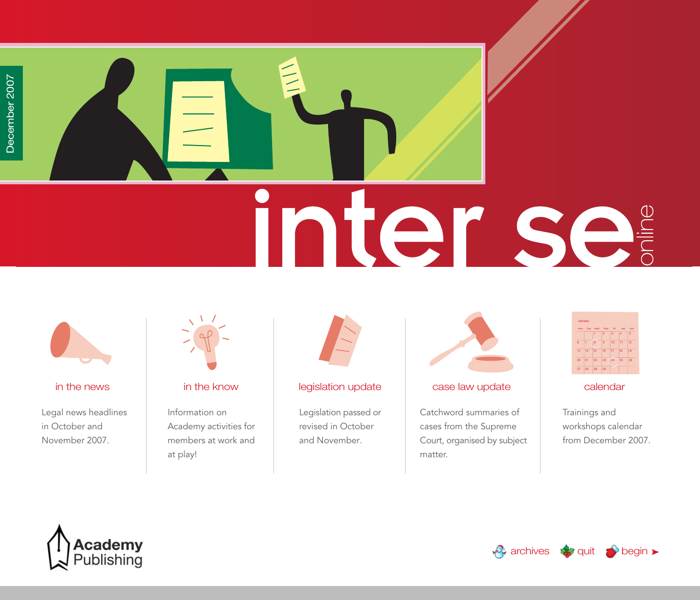<span id="page-0-0"></span>



Legal news headlines in October and November 2007.



Information on Academy activities for members at work and at play!



### [in the news](#page-1-0) in the know begislation update case law update [calendar](#page-56-0) case calendar

Legislation passed or revised in October and November.



Catchword summaries of cases from the Supreme Court, organised by subject matter.



Trainings and workshops calendar from December 2007.



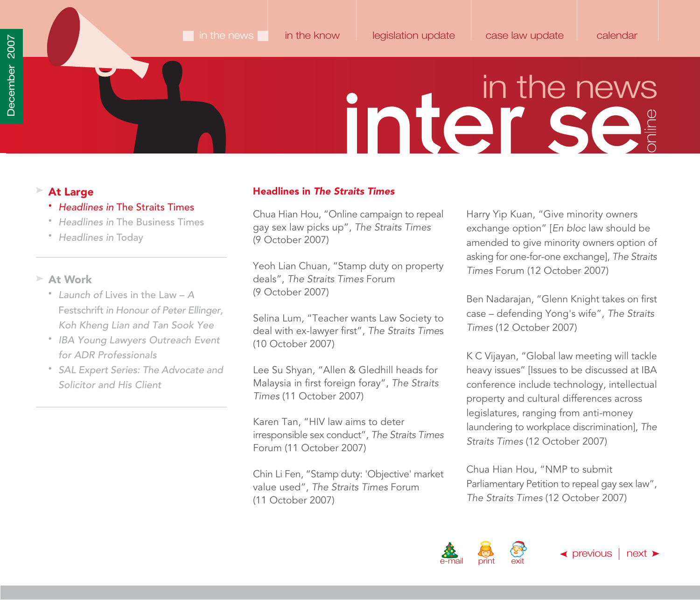- Headlines in The Straits Times
- Headlines in [The Business Times](#page-10-0)
- [Headlines in](#page-11-0) Today

### **At Work**

- Launch of Lives in the Law A Festschrift in Honour of Peter Ellinger, [Koh Kheng Lian and Tan Sook Yee](#page-13-0)
- [IBA Young Lawyers Outreach Event](#page-16-0) for ADR Professionals
- [SAL Expert Series: The Advocate and](#page-18-0) Solicitor and His Client

### <span id="page-1-0"></span>▶ At Large **At Large Access Access Access Access Access Access Access Access Access Access Access Access Access Access Access Access Access Access Access Access Access Access Access Access Access Access Access Access Acce**

Chua Hian Hou, "Online campaign to repeal gay sex law picks up", The Straits Times (9 October 2007)

Yeoh Lian Chuan, "Stamp duty on property deals", The Straits Times Forum (9 October 2007)

Selina Lum, "Teacher wants Law Society to deal with ex-lawyer first", The Straits Times (10 October 2007)

Lee Su Shyan, "Allen & Gledhill heads for Malaysia in first foreign foray", The Straits Times (11 October 2007)

Karen Tan, "HIV law aims to deter irresponsible sex conduct", The Straits Times Forum (11 October 2007)

Chin Li Fen, "Stamp duty: 'Objective' market value used", The Straits Times Forum (11 October 2007)

Harry Yip Kuan, "Give minority owners exchange option" [En bloc law should be amended to give minority owners option of asking for one-for-one exchange], The Straits Times Forum (12 October 2007)

Ben Nadarajan, "Glenn Knight takes on first case – defending Yong's wife", The Straits Times (12 October 2007)

K C Vijayan, "Global law meeting will tackle heavy issues" [Issues to be discussed at IBA conference include technology, intellectual property and cultural differences across legislatures, ranging from anti-money laundering to workplace discrimination], The Straits Times (12 October 2007)

Chua Hian Hou, "NMP to submit Parliamentary Petition to repeal gay sex law", The Straits Times (12 October 2007)

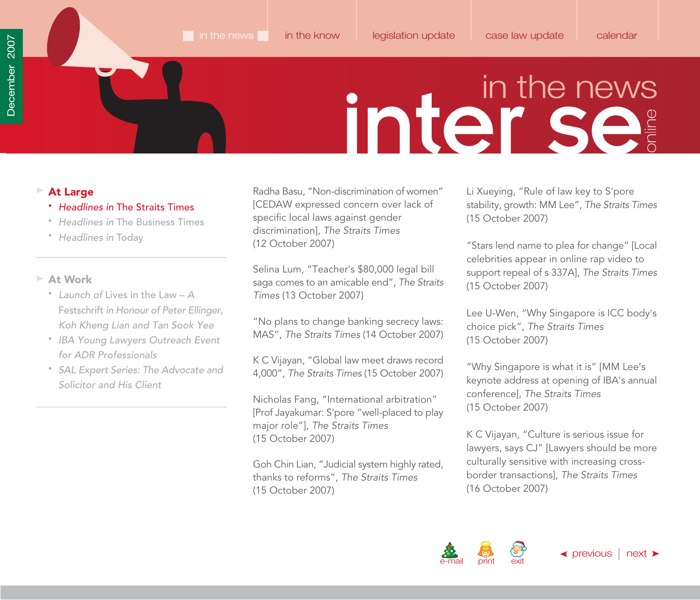### <span id="page-2-0"></span>**At Large**

- Headlines in The Straits Times
- Headlines in [The Business Times](#page-10-0)
- [Headlines in](#page-11-0) Today

### **At Work**

- Launch of Lives in the Law A Festschrift in Honour of Peter Ellinger, [Koh Kheng Lian and Tan Sook Yee](#page-13-0)
- [IBA Young Lawyers Outreach Event](#page-16-0) for ADR Professionals
- [SAL Expert Series: The Advocate and](#page-18-0) Solicitor and His Client

Radha Basu, "Non-discrimination of women" [CEDAW expressed concern over lack of specific local laws against gender discrimination], The Straits Times (12 October 2007)

Selina Lum, "Teacher's \$80,000 legal bill saga comes to an amicable end", The Straits Times (13 October 2007)

"No plans to change banking secrecy laws: MAS", The Straits Times (14 October 2007)

K C Vijayan, "Global law meet draws record 4,000", The Straits Times (15 October 2007)

Nicholas Fang, "International arbitration" [Prof Jayakumar: S'pore "well-placed to play major role"], The Straits Times (15 October 2007)

Goh Chin Lian, "Judicial system highly rated, thanks to reforms", The Straits Times (15 October 2007)

Li Xueying, "Rule of law key to S'pore stability, growth: MM Lee", The Straits Times (15 October 2007)

"Stars lend name to plea for change" [Local celebrities appear in online rap video to support repeal of s 337A], The Straits Times (15 October 2007)

Lee U-Wen, "Why Singapore is ICC body's choice pick", The Straits Times (15 October 2007)

"Why Singapore is what it is" [MM Lee's keynote address at opening of IBA's annual conference], The Straits Times (15 October 2007)

K C Vijayan, "Culture is serious issue for lawyers, says CJ" [Lawyers should be more culturally sensitive with increasing crossborder transactions], The Straits Times (16 October 2007)

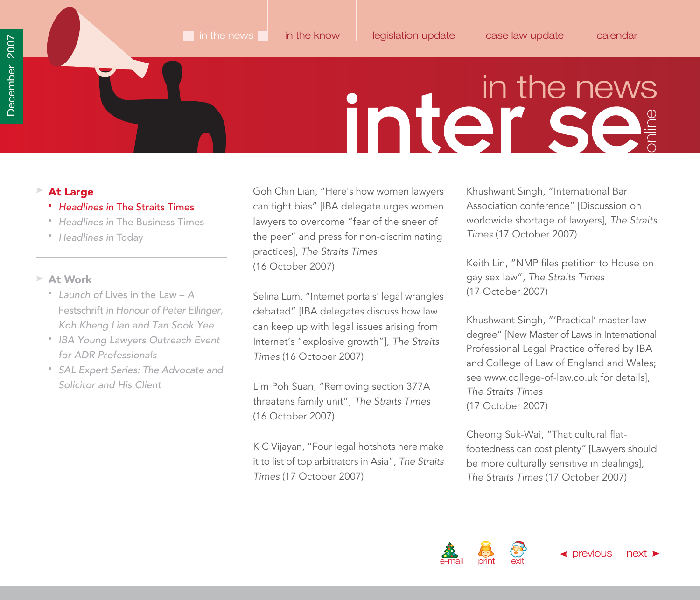### <span id="page-3-0"></span>**At Large**

- Headlines in The Straits Times
- Headlines in [The Business Times](#page-10-0)
- [Headlines in](#page-11-0) Today

### **At Work**

- Launch of Lives in the Law A Festschrift in Honour of Peter Ellinger, [Koh Kheng Lian and Tan Sook Yee](#page-13-0)
- [IBA Young Lawyers Outreach Event](#page-16-0) for ADR Professionals
- [SAL Expert Series: The Advocate and](#page-18-0) Solicitor and His Client

Goh Chin Lian, "Here's how women lawyers can fight bias" [IBA delegate urges women lawyers to overcome "fear of the sneer of the peer" and press for non-discriminating practices], The Straits Times (16 October 2007)

Selina Lum, "Internet portals' legal wrangles debated" [IBA delegates discuss how law can keep up with legal issues arising from Internet's "explosive growth"], The Straits Times (16 October 2007)

Lim Poh Suan, "Removing section 377A threatens family unit", The Straits Times (16 October 2007)

K C Vijayan, "Four legal hotshots here make it to list of top arbitrators in Asia", The Straits Times (17 October 2007)

Khushwant Singh, "International Bar Association conference" [Discussion on worldwide shortage of lawyers], The Straits Times (17 October 2007)

Keith Lin, "NMP files petition to House on gay sex law", The Straits Times (17 October 2007)

Khushwant Singh, "'Practical' master law degree" [New Master of Laws in International Professional Legal Practice offered by IBA and College of Law of England and Wales; se[e www.college-of-law.co.uk fo](http://www.college-of-law.co.uk)r details], The Straits Times (17 October 2007)

Cheong Suk-Wai, "That cultural flatfootedness can cost plenty" [Lawyers should be more culturally sensitive in dealings], The Straits Times (17 October 2007)

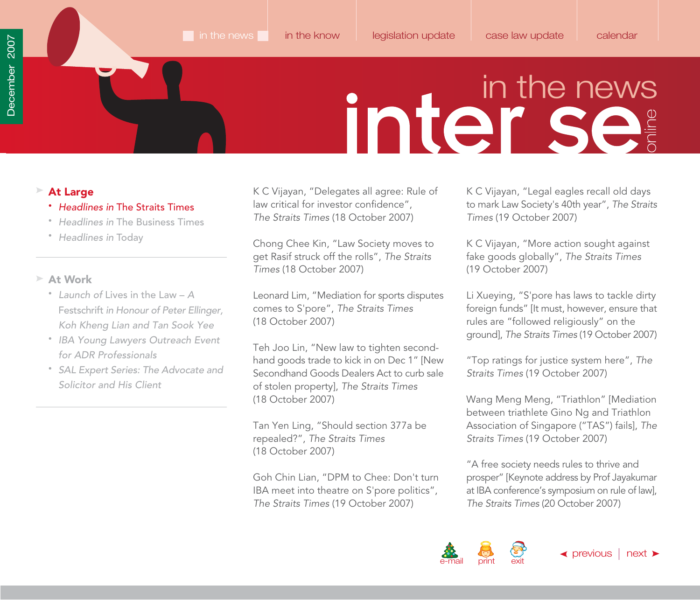### <span id="page-4-0"></span>**At Large**

- Headlines in The Straits Times
- Headlines in [The Business Times](#page-10-0)
- [Headlines in](#page-11-0) Today

### **At Work**

- Launch of Lives in the Law A Festschrift in Honour of Peter Ellinger, [Koh Kheng Lian and Tan Sook Yee](#page-13-0)
- [IBA Young Lawyers Outreach Event](#page-16-0) for ADR Professionals
- [SAL Expert Series: The Advocate and](#page-18-0) Solicitor and His Client

K C Vijayan, "Delegates all agree: Rule of law critical for investor confidence", The Straits Times (18 October 2007)

Chong Chee Kin, "Law Society moves to get Rasif struck off the rolls", The Straits Times (18 October 2007)

Leonard Lim, "Mediation for sports disputes comes to S'pore", The Straits Times (18 October 2007)

Teh Joo Lin, "New law to tighten secondhand goods trade to kick in on Dec 1" [New Secondhand Goods Dealers Act to curb sale of stolen property], The Straits Times (18 October 2007)

Tan Yen Ling, "Should section 377a be repealed?", The Straits Times (18 October 2007)

Goh Chin Lian, "DPM to Chee: Don't turn IBA meet into theatre on S'pore politics", The Straits Times (19 October 2007)

K C Vijayan, "Legal eagles recall old days to mark Law Society's 40th year", The Straits Times (19 October 2007)

K C Vijayan, "More action sought against fake goods globally", The Straits Times (19 October 2007)

Li Xueying, "S'pore has laws to tackle dirty foreign funds" [It must, however, ensure that rules are "followed religiously" on the ground], The Straits Times (19 October 2007)

"Top ratings for justice system here", The Straits Times (19 October 2007)

Wang Meng Meng, "Triathlon" [Mediation between triathlete Gino Ng and Triathlon Association of Singapore ("TAS") fails], The Straits Times (19 October 2007)

"A free society needs rules to thrive and prosper" [Keynote address by Prof Jayakumar at IBA conference's symposium on rule of law], The Straits Times (20 October 2007)

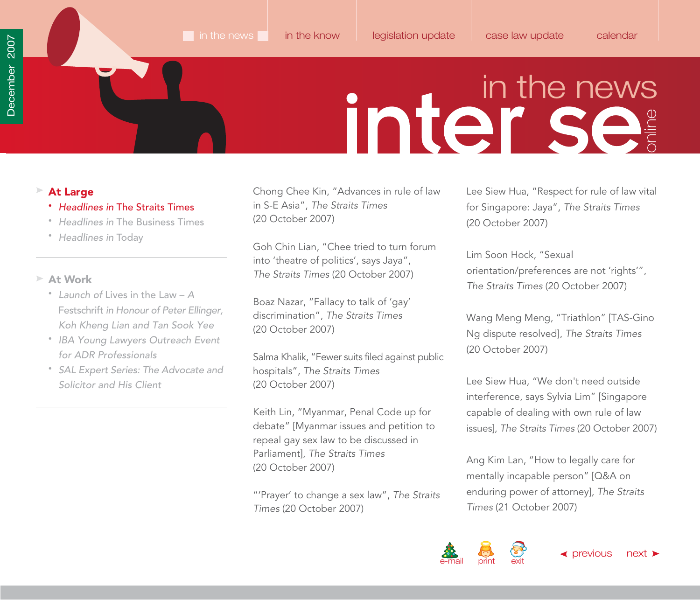### <span id="page-5-0"></span>**At Large**

- Headlines in The Straits Times
- Headlines in [The Business Times](#page-10-0)
- [Headlines in](#page-11-0) Today

### **At Work**

- Launch of Lives in the Law A Festschrift in Honour of Peter Ellinger, [Koh Kheng Lian and Tan Sook Yee](#page-13-0)
- [IBA Young Lawyers Outreach Event](#page-16-0) for ADR Professionals
- [SAL Expert Series: The Advocate and](#page-18-0) Solicitor and His Client

Chong Chee Kin, "Advances in rule of law in S-E Asia", The Straits Times (20 October 2007)

Goh Chin Lian, "Chee tried to turn forum into 'theatre of politics', says Jaya", The Straits Times (20 October 2007)

Boaz Nazar, "Fallacy to talk of 'gay' discrimination", The Straits Times (20 October 2007)

Salma Khalik, "Fewer suits filed against public hospitals", The Straits Times (20 October 2007)

Keith Lin, "Myanmar, Penal Code up for debate" [Myanmar issues and petition to repeal gay sex law to be discussed in Parliament], The Straits Times (20 October 2007)

"'Prayer' to change a sex law", The Straits Times (20 October 2007)

Lee Siew Hua, "Respect for rule of law vital for Singapore: Jaya", The Straits Times (20 October 2007)

Lim Soon Hock, "Sexual orientation/preferences are not 'rights'", The Straits Times (20 October 2007)

Wang Meng Meng, "Triathlon" [TAS-Gino Ng dispute resolved], The Straits Times (20 October 2007)

Lee Siew Hua, "We don't need outside interference, says Sylvia Lim" [Singapore capable of dealing with own rule of law issues], The Straits Times (20 October 2007)

Ang Kim Lan, "How to legally care for mentally incapable person" [Q&A on enduring power of attorney], The Straits Times (21 October 2007)

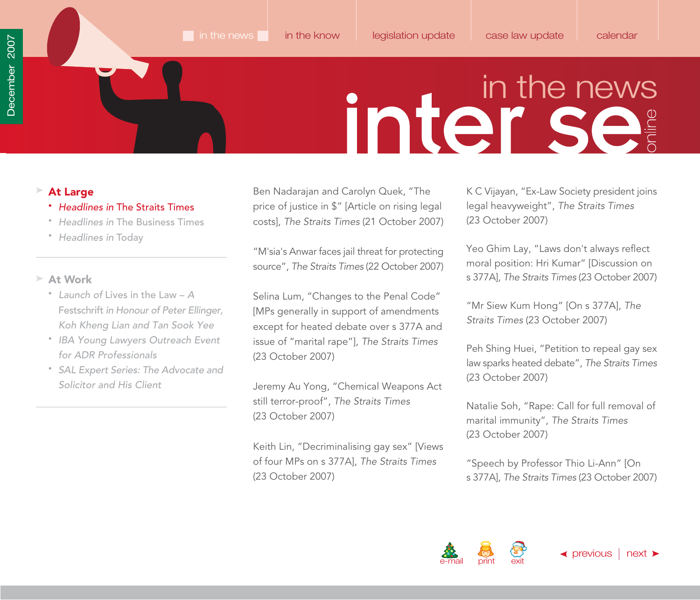### <span id="page-6-0"></span>**At Large**

- Headlines in The Straits Times
- Headlines in [The Business Times](#page-10-0)
- [Headlines in](#page-11-0) Today

### **At Work**

- Launch of Lives in the Law A Festschrift in Honour of Peter Ellinger, [Koh Kheng Lian and Tan Sook Yee](#page-13-0)
- [IBA Young Lawyers Outreach Event](#page-16-0) for ADR Professionals
- [SAL Expert Series: The Advocate and](#page-18-0) Solicitor and His Client

Ben Nadarajan and Carolyn Quek, "The price of justice in \$" [Article on rising legal costs], The Straits Times (21 October 2007)

"M'sia's Anwar faces jail threat for protecting source", The Straits Times (22 October 2007)

Selina Lum, "Changes to the Penal Code" [MPs generally in support of amendments except for heated debate over s 377A and issue of "marital rape"], The Straits Times (23 October 2007)

Jeremy Au Yong, "Chemical Weapons Act still terror-proof", The Straits Times (23 October 2007)

Keith Lin, "Decriminalising gay sex" [Views of four MPs on s 377A], The Straits Times (23 October 2007)

K C Vijayan, "Ex-Law Society president joins legal heavyweight", The Straits Times (23 October 2007)

Yeo Ghim Lay, "Laws don't always reflect moral position: Hri Kumar" [Discussion on s 377A], The Straits Times (23 October 2007)

"Mr Siew Kum Hong" [On s 377A], The Straits Times (23 October 2007)

Peh Shing Huei, "Petition to repeal gay sex law sparks heated debate", The Straits Times (23 October 2007)

Natalie Soh, "Rape: Call for full removal of marital immunity", The Straits Times (23 October 2007)

"Speech by Professor Thio Li-Ann" [On s 377A], The Straits Times (23 October 2007)

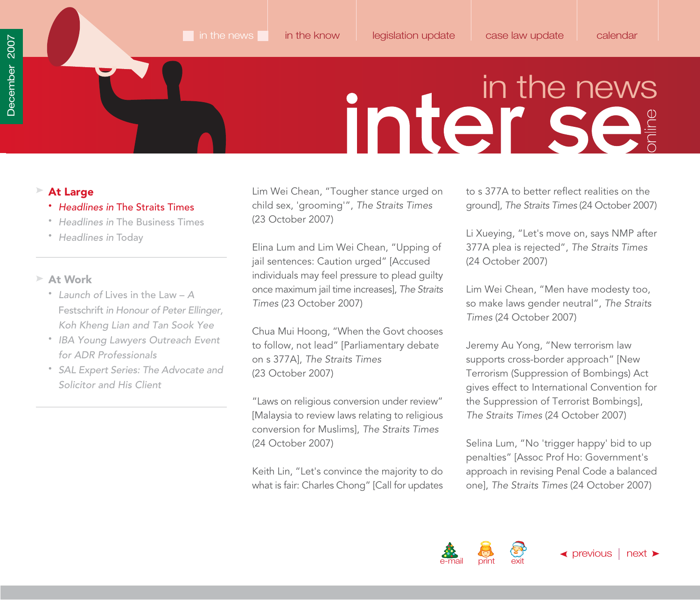### <span id="page-7-0"></span>**At Large**

- Headlines in The Straits Times
- Headlines in [The Business Times](#page-10-0)
- [Headlines in](#page-11-0) Today

### **At Work**

- Launch of Lives in the Law A Festschrift in Honour of Peter Ellinger, [Koh Kheng Lian and Tan Sook Yee](#page-13-0)
- [IBA Young Lawyers Outreach Event](#page-16-0) for ADR Professionals
- [SAL Expert Series: The Advocate and](#page-18-0) Solicitor and His Client

Lim Wei Chean, "Tougher stance urged on child sex, 'grooming'", The Straits Times (23 October 2007)

Elina Lum and Lim Wei Chean, "Upping of jail sentences: Caution urged" [Accused individuals may feel pressure to plead guilty once maximum jail time increases], The Straits Times (23 October 2007)

Chua Mui Hoong, "When the Govt chooses to follow, not lead" [Parliamentary debate on s 377A], The Straits Times (23 October 2007)

"Laws on religious conversion under review" [Malaysia to review laws relating to religious conversion for Muslims], The Straits Times (24 October 2007)

Keith Lin, "Let's convince the majority to do what is fair: Charles Chong" [Call for updates to s 377A to better reflect realities on the ground], The Straits Times (24 October 2007)

Li Xueying, "Let's move on, says NMP after 377A plea is rejected", The Straits Times (24 October 2007)

Lim Wei Chean, "Men have modesty too, so make laws gender neutral", The Straits Times (24 October 2007)

Jeremy Au Yong, "New terrorism law supports cross-border approach" [New Terrorism (Suppression of Bombings) Act gives effect to International Convention for the Suppression of Terrorist Bombings], The Straits Times (24 October 2007)

Selina Lum, "No 'trigger happy' bid to up penalties" [Assoc Prof Ho: Government's approach in revising Penal Code a balanced one], The Straits Times (24 October 2007)

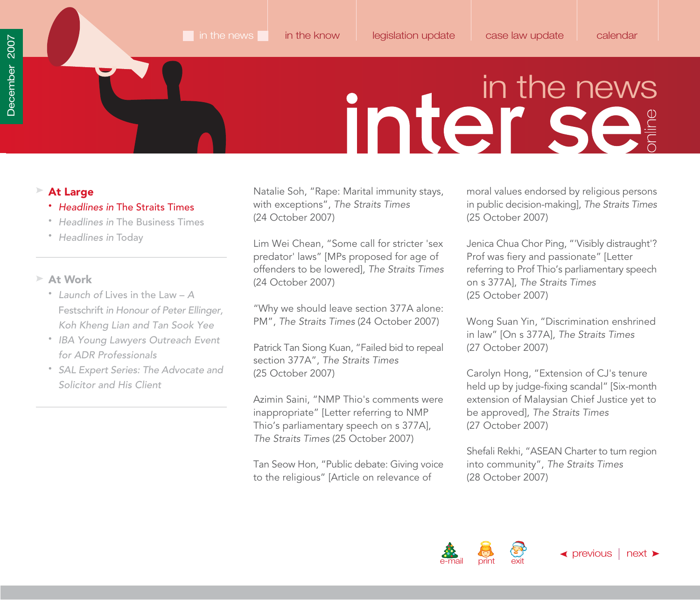### <span id="page-8-0"></span>**At Large**

- Headlines in The Straits Times
- Headlines in [The Business Times](#page-10-0)
- [Headlines in](#page-11-0) Today

### **At Work**

- Launch of Lives in the Law A Festschrift in Honour of Peter Ellinger, [Koh Kheng Lian and Tan Sook Yee](#page-13-0)
- [IBA Young Lawyers Outreach Event](#page-16-0) for ADR Professionals
- [SAL Expert Series: The Advocate and](#page-18-0) Solicitor and His Client

Natalie Soh, "Rape: Marital immunity stays, with exceptions", The Straits Times (24 October 2007)

Lim Wei Chean, "Some call for stricter 'sex predator' laws" [MPs proposed for age of offenders to be lowered], The Straits Times (24 October 2007)

"Why we should leave section 377A alone: PM", The Straits Times (24 October 2007)

Patrick Tan Siong Kuan, "Failed bid to repeal section 377A", The Straits Times (25 October 2007)

Azimin Saini, "NMP Thio's comments were inappropriate" [Letter referring to NMP Thio's parliamentary speech on s 377A], The Straits Times (25 October 2007)

Tan Seow Hon, "Public debate: Giving voice to the religious" [Article on relevance of

moral values endorsed by religious persons in public decision-making], The Straits Times (25 October 2007)

Jenica Chua Chor Ping, "'Visibly distraught'? Prof was fiery and passionate" [Letter referring to Prof Thio's parliamentary speech on s 377A], The Straits Times (25 October 2007)

Wong Suan Yin, "Discrimination enshrined in law" [On s 377A], The Straits Times (27 October 2007)

Carolyn Hong, "Extension of CJ's tenure held up by judge-fixing scandal" [Six-month extension of Malaysian Chief Justice yet to be approved], The Straits Times (27 October 2007)

Shefali Rekhi, "ASEAN Charter to turn region into community", The Straits Times (28 October 2007)

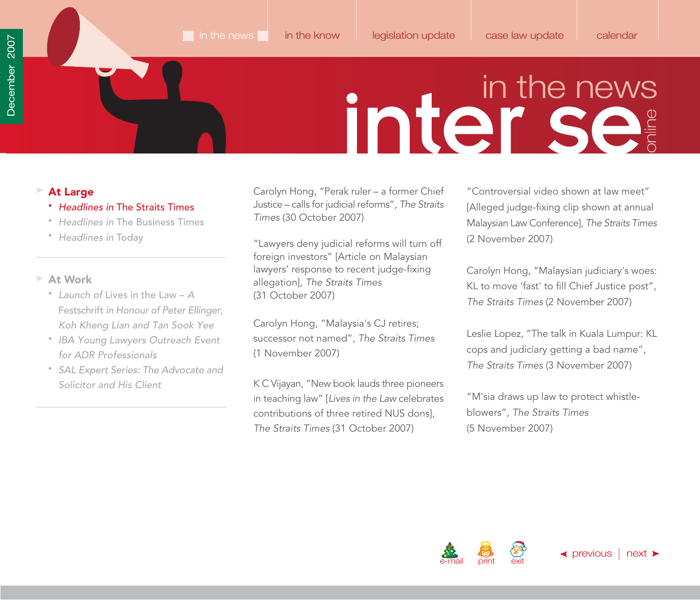### <span id="page-9-0"></span>**At Large**

- Headlines in The Straits Times
- Headlines in [The Business Times](#page-10-0)
- [Headlines in](#page-11-0) Today

### **At Work**

- Launch of Lives in the Law A Festschrift in Honour of Peter Ellinger, [Koh Kheng Lian and Tan Sook Yee](#page-13-0)
- [IBA Young Lawyers Outreach Event](#page-16-0) for ADR Professionals
- [SAL Expert Series: The Advocate and](#page-18-0) Solicitor and His Client

Carolyn Hong, "Perak ruler – a former Chief Justice – calls for judicial reforms", The Straits Times (30 October 2007)

"Lawyers deny judicial reforms will turn off foreign investors" [Article on Malaysian lawyers' response to recent judge-fixing allegation], The Straits Times (31 October 2007)

Carolyn Hong, "Malaysia's CJ retires; successor not named", The Straits Times (1 November 2007)

K C Vijayan, "New book lauds three pioneers in teaching law" [Lives in the Law celebrates contributions of three retired NUS dons], The Straits Times (31 October 2007)

"Controversial video shown at law meet" [Alleged judge-fixing clip shown at annual Malaysian Law Conference], The Straits Times (2 November 2007)

Carolyn Hong, "Malaysian judiciary's woes: KL to move 'fast' to fill Chief Justice post", The Straits Times (2 November 2007)

Leslie Lopez, "The talk in Kuala Lumpur: KL cops and judiciary getting a bad name", The Straits Times (3 November 2007)

"M'sia draws up law to protect whistleblowers", The Straits Times (5 November 2007)

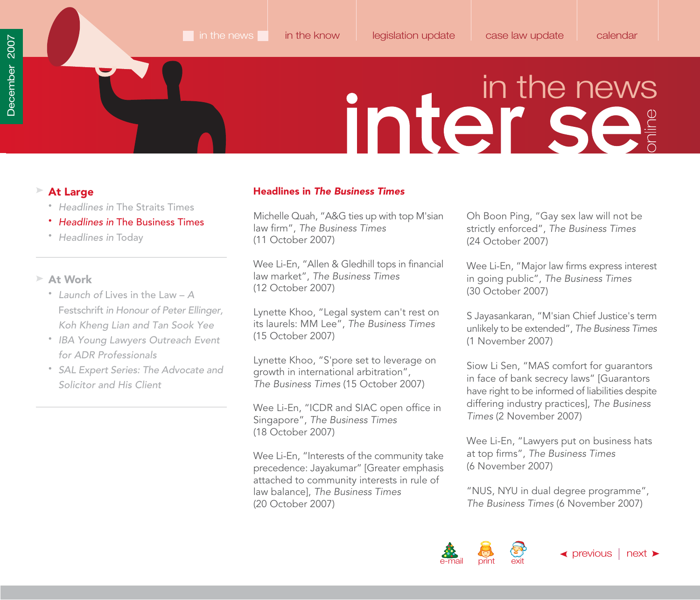- Headlines in [The Straits Times](#page-1-0)
- Headlines in The Business Times
- [Headlines in](#page-11-0) Today

### **At Work**

- Launch of Lives in the Law A Festschrift in Honour of Peter Ellinger, [Koh Kheng Lian and Tan Sook Yee](#page-13-0)
- [IBA Young Lawyers Outreach Event](#page-16-0) for ADR Professionals
- [SAL Expert Series: The Advocate and](#page-18-0) Solicitor and His Client

### <span id="page-10-0"></span>**At Large Headlines in The Business Times**

Michelle Quah, "A&G ties up with top M'sian law firm", The Business Times (11 October 2007)

Wee Li-En, "Allen & Gledhill tops in financial law market", The Business Times (12 October 2007)

Lynette Khoo, "Legal system can't rest on its laurels: MM Lee", The Business Times (15 October 2007)

Lynette Khoo, "S'pore set to leverage on growth in international arbitration", The Business Times (15 October 2007)

Wee Li-En, "ICDR and SIAC open office in Singapore", The Business Times (18 October 2007)

Wee Li-En, "Interests of the community take precedence: Jayakumar" [Greater emphasis attached to community interests in rule of law balance], The Business Times (20 October 2007)

Oh Boon Ping, "Gay sex law will not be strictly enforced", The Business Times (24 October 2007)

Wee Li-En, "Major law firms express interest in going public", The Business Times (30 October 2007)

S Jayasankaran, "M'sian Chief Justice's term unlikely to be extended", The Business Times (1 November 2007)

Siow Li Sen, "MAS comfort for guarantors in face of bank secrecy laws" [Guarantors have right to be informed of liabilities despite differing industry practices], The Business Times (2 November 2007)

Wee Li-En, "Lawyers put on business hats at top firms", The Business Times (6 November 2007)

"NUS, NYU in dual degree programme", The Business Times (6 November 2007)

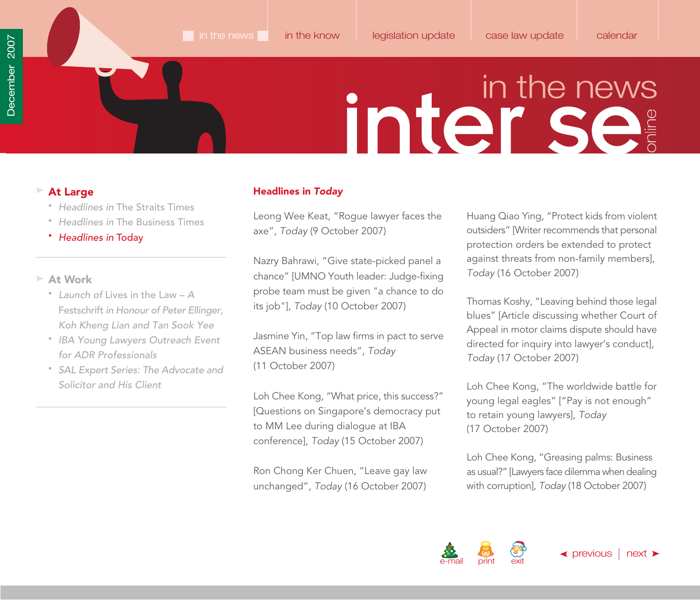- Headlines in [The Straits Times](#page-1-0)
- Headlines in [The Business Times](#page-10-0)
- Headlines in Today

### **At Work**

- Launch of Lives in the Law A Festschrift in Honour of Peter Ellinger, [Koh Kheng Lian and Tan Sook Yee](#page-13-0)
- [IBA Young Lawyers Outreach Event](#page-16-0) for ADR Professionals
- [SAL Expert Series: The Advocate and](#page-18-0) Solicitor and His Client

### <span id="page-11-0"></span>**At Large**  And **Headlines in** *Today*

Leong Wee Keat, "Rogue lawyer faces the axe", Today (9 October 2007)

Nazry Bahrawi, "Give state-picked panel a chance" [UMNO Youth leader: Judge-fixing probe team must be given "a chance to do its job"], Today (10 October 2007)

Jasmine Yin, "Top law firms in pact to serve ASEAN business needs", Today (11 October 2007)

Loh Chee Kong, "What price, this success?" [Questions on Singapore's democracy put to MM Lee during dialogue at IBA conference], Today (15 October 2007)

Ron Chong Ker Chuen, "Leave gay law unchanged", Today (16 October 2007) Huang Qiao Ying, "Protect kids from violent outsiders" [Writer recommends that personal protection orders be extended to protect against threats from non-family members], Today (16 October 2007)

Thomas Koshy, "Leaving behind those legal blues" [Article discussing whether Court of Appeal in motor claims dispute should have directed for inquiry into lawyer's conduct], Today (17 October 2007)

Loh Chee Kong, "The worldwide battle for young legal eagles" ["Pay is not enough" to retain young lawyers], Today (17 October 2007)

Loh Chee Kong, "Greasing palms: Business as usual?" [Lawyers face dilemma when dealing with corruption], Today (18 October 2007)

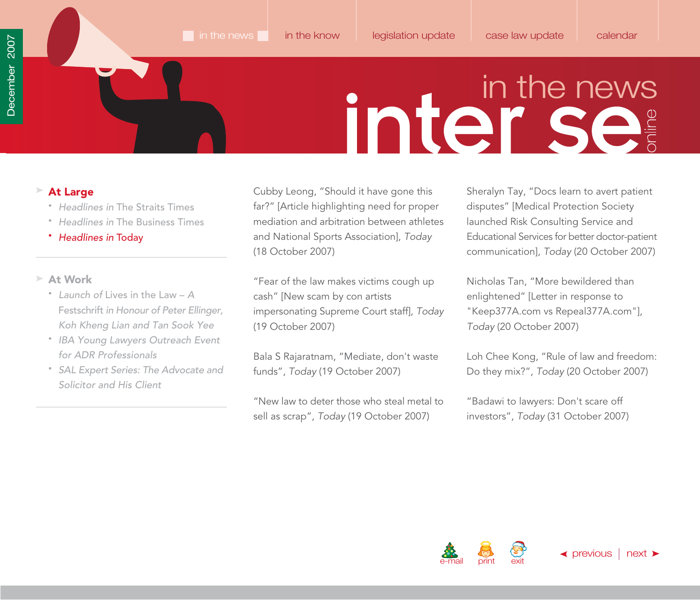### <span id="page-12-0"></span>**At Large**

- Headlines in [The Straits Times](#page-1-0)
- Headlines in [The Business Times](#page-10-0)

### • Headlines in Today

### **At Work**

- Launch of Lives in the Law A Festschrift in Honour of Peter Ellinger, [Koh Kheng Lian and Tan Sook Yee](#page-13-0)
- [IBA Young Lawyers Outreach Event](#page-16-0) for ADR Professionals
- [SAL Expert Series: The Advocate and](#page-18-0) Solicitor and His Client

Cubby Leong, "Should it have gone this far?" [Article highlighting need for proper mediation and arbitration between athletes and National Sports Association], Today (18 October 2007)

"Fear of the law makes victims cough up cash" [New scam by con artists impersonating Supreme Court staff], Today (19 October 2007)

Bala S Rajaratnam, "Mediate, don't waste funds", Today (19 October 2007)

"New law to deter those who steal metal to sell as scrap", Today (19 October 2007)

Sheralyn Tay, "Docs learn to avert patient disputes" [Medical Protection Society launched Risk Consulting Service and Educational Services for better doctor-patient communication], Today (20 October 2007)

Nicholas Tan, "More bewildered than enlightened" [Letter in response to ["Keep377A.com](http://keep377a.com) vs [Repeal377A.com"](http://repeal377a.com)], Today (20 October 2007)

Loh Chee Kong, "Rule of law and freedom: Do they mix?", Today (20 October 2007)

"Badawi to lawyers: Don't scare off investors", Today (31 October 2007)

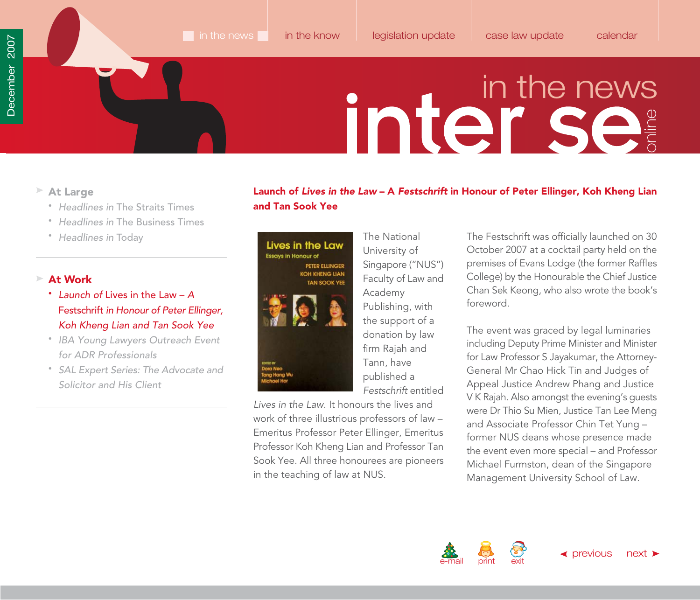- <span id="page-13-0"></span>**At Large**
	- Headlines in [The Straits Times](#page-1-0)
	- Headlines in [The Business Times](#page-10-0)
	- [Headlines in](#page-11-0) Today

### **At Work**

- Launch of Lives in the Law A Festschrift in Honour of Peter Ellinger, Koh Kheng Lian and Tan Sook Yee
- [IBA Young Lawyers Outreach Event](#page-16-0) for ADR Professionals
- [SAL Expert Series: The Advocate and](#page-18-0) Solicitor and His Client

### **Launch of** *Lives in the Law* **– A** *Festschrift* **in Honour of Peter Ellinger, Koh Kheng Lian and Tan Sook Yee**

### Lives in the Law **Essays in Honour of** PETER ELLINGER **KOH KHENG LIAN TAN SOOK YEE**

Lives in the Law. It honours the lives and work of three illustrious professors of law – Emeritus Professor Peter Ellinger, Emeritus Professor Koh Kheng Lian and Professor Tan Sook Yee. All three honourees are pioneers

in the teaching of law at NUS.

University of Singapore ("NUS") Faculty of Law and Academy Publishing, with the support of a donation by law firm Rajah and Tann, have published a Festschrift entitled

The National

The Festschrift was officially launched on 30 October 2007 at a cocktail party held on the premises of Evans Lodge (the former Raffles College) by the Honourable the Chief Justice Chan Sek Keong, who also wrote the book's foreword.

The event was graced by legal luminaries including Deputy Prime Minister and Minister for Law Professor S Jayakumar, the Attorney-General Mr Chao Hick Tin and Judges of Appeal Justice Andrew Phang and Justice V K Rajah. Also amongst the evening's guests were Dr Thio Su Mien, Justice Tan Lee Meng and Associate Professor Chin Tet Yung – former NUS deans whose presence made the event even more special – and Professor Michael Furmston, dean of the Singapore Management University School of Law.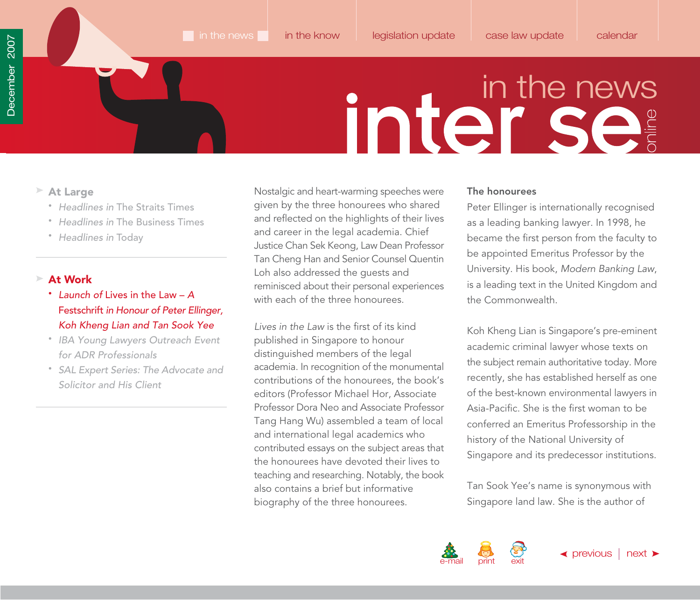- <span id="page-14-0"></span>**At Large**
	- Headlines in [The Straits Times](#page-1-0)
	- Headlines in [The Business Times](#page-10-0)
	- [Headlines in](#page-11-0) Today

### **At Work**

- Launch of Lives in the Law A Festschrift in Honour of Peter Ellinger, Koh Kheng Lian and Tan Sook Yee
- [IBA Young Lawyers Outreach Event](#page-16-0) for ADR Professionals
- [SAL Expert Series: The Advocate and](#page-18-0) Solicitor and His Client

Nostalgic and heart-warming speeches were given by the three honourees who shared and reflected on the highlights of their lives and career in the legal academia. Chief Justice Chan Sek Keong, Law Dean Professor Tan Cheng Han and Senior Counsel Quentin Loh also addressed the guests and reminisced about their personal experiences with each of the three honourees.

Lives in the Law is the first of its kind published in Singapore to honour distinguished members of the legal academia. In recognition of the monumental contributions of the honourees, the book's editors (Professor Michael Hor, Associate Professor Dora Neo and Associate Professor Tang Hang Wu) assembled a team of local and international legal academics who contributed essays on the subject areas that the honourees have devoted their lives to teaching and researching. Notably, the book also contains a brief but informative biography of the three honourees.

### **The honourees**

Peter Ellinger is internationally recognised as a leading banking lawyer. In 1998, he became the first person from the faculty to be appointed Emeritus Professor by the University. His book, Modern Banking Law, is a leading text in the United Kingdom and the Commonwealth.

Koh Kheng Lian is Singapore's pre-eminent academic criminal lawyer whose texts on the subject remain authoritative today. More recently, she has established herself as one of the best-known environmental lawyers in Asia-Pacific. She is the first woman to be conferred an Emeritus Professorship in the history of the National University of Singapore and its predecessor institutions.

Tan Sook Yee's name is synonymous with Singapore land law. She is the author of

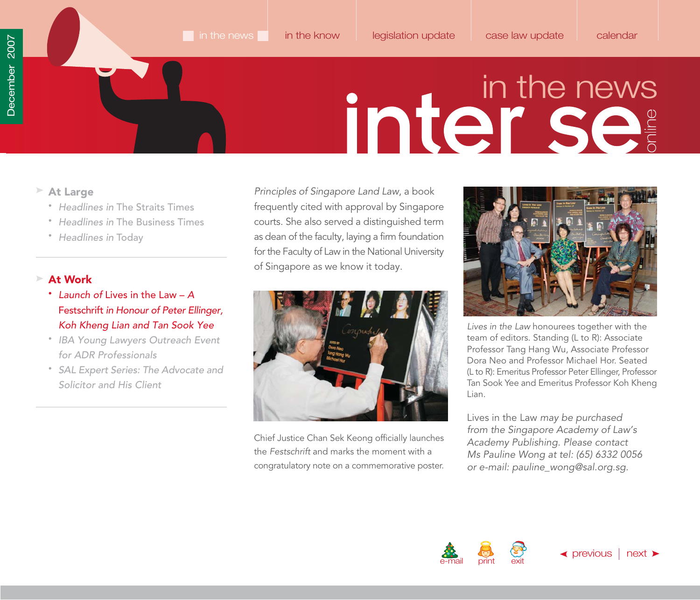- <span id="page-15-0"></span>**At Large**
	- Headlines in [The Straits Times](#page-1-0)
	- Headlines in [The Business Times](#page-10-0)
	- [Headlines in](#page-11-0) Today

### **At Work**

- Launch of Lives in the Law A Festschrift in Honour of Peter Ellinger, Koh Kheng Lian and Tan Sook Yee
- [IBA Young Lawyers Outreach Event](#page-16-0) for ADR Professionals
- [SAL Expert Series: The Advocate and](#page-18-0) Solicitor and His Client

Principles of Singapore Land Law, a book frequently cited with approval by Singapore courts. She also served a distinguished term as dean of the faculty, laying a firm foundation for the Faculty of Law in the National University of Singapore as we know it today.



Chief Justice Chan Sek Keong officially launches the Festschrift and marks the moment with a congratulatory note on a commemorative poster.



Lives in the Law honourees together with the team of editors. Standing (L to R): Associate Professor Tang Hang Wu, Associate Professor Dora Neo and Professor Michael Hor. Seated (L to R): Emeritus Professor Peter Ellinger, Professor Tan Sook Yee and Emeritus Professor Koh Kheng Lian.

Lives in the Law may be purchased from the Singapore Academy of Law's Academy Publishing. Please contact Ms Pauline Wong at tel: (65) 6332 0056 or e-mail[: pauline\\_wong@sal.org.sg.](mailto:pauline_wong@sal.org.sg)

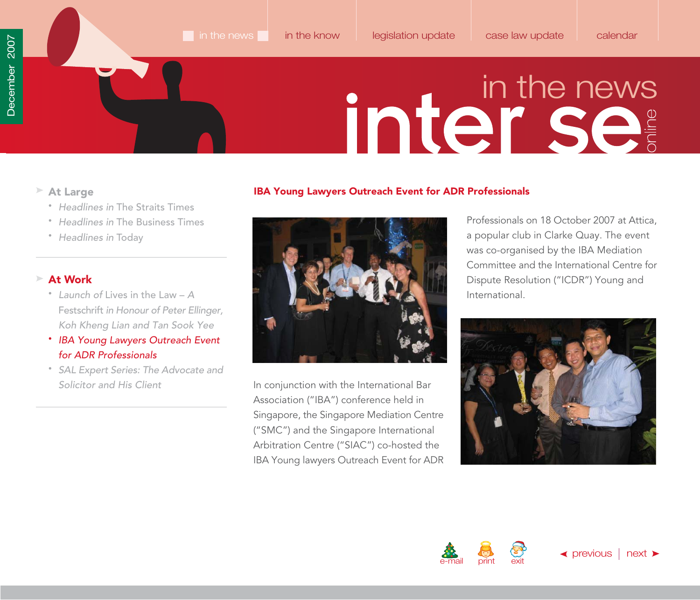- <span id="page-16-0"></span>**At Large**
	- Headlines in [The Straits Times](#page-1-0)
	- Headlines in [The Business Times](#page-10-0)
	- [Headlines in](#page-11-0) Today

### **At Work**

- Launch of Lives in the Law A Festschrift in Honour of Peter Ellinger, [Koh Kheng Lian and Tan Sook Yee](#page-13-0)
- IBA Young Lawyers Outreach Event for ADR Professionals
- [SAL Expert Series: The Advocate and](#page-18-0) Solicitor and His Client





In conjunction with the International Bar Association ("IBA") conference held in Singapore, the Singapore Mediation Centre ("SMC") and the Singapore International Arbitration Centre ("SIAC") co-hosted the IBA Young lawyers Outreach Event for ADR Professionals on 18 October 2007 at Attica, a popular club in Clarke Quay. The event was co-organised by the IBA Mediation Committee and the International Centre for Dispute Resolution ("ICDR") Young and International.

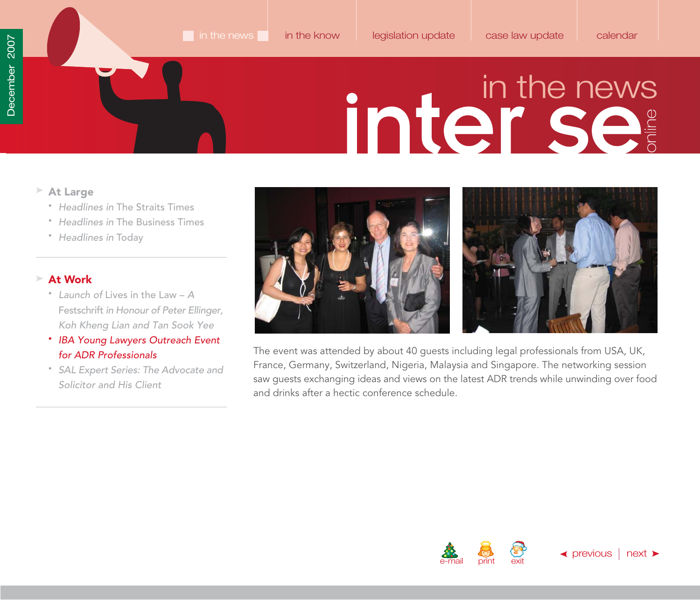- <span id="page-17-0"></span>**At Large**
	- Headlines in [The Straits Times](#page-1-0)
	- Headlines in [The Business Times](#page-10-0)
	- [Headlines in](#page-11-0) Today

### **At Work**

- Launch of Lives in the Law A Festschrift in Honour of Peter Ellinger, [Koh Kheng Lian and Tan Sook Yee](#page-13-0)
- IBA Young Lawyers Outreach Event for ADR Professionals
- [SAL Expert Series: The Advocate and](#page-18-0) Solicitor and His Client





The event was attended by about 40 guests including legal professionals from USA, UK, France, Germany, Switzerland, Nigeria, Malaysia and Singapore. The networking session saw guests exchanging ideas and views on the latest ADR trends while unwinding over food and drinks after a hectic conference schedule.



 $\blacktriangle$  [previous](#page-16-0)  $\mid$  [next](#page-18-0)  $\blacktriangleright$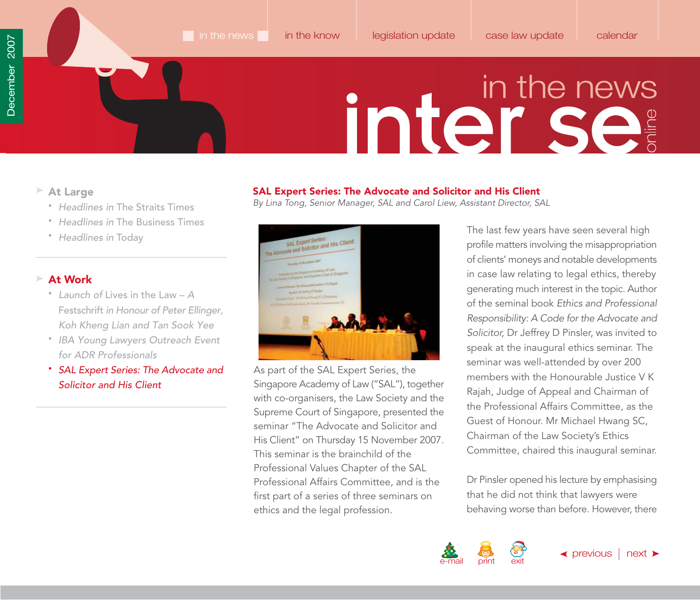- <span id="page-18-0"></span>**At Large**
	- Headlines in [The Straits Times](#page-1-0)
	- Headlines in [The Business Times](#page-10-0)
	- [Headlines in](#page-11-0) Today

### **At Work**

- Launch of Lives in the Law A Festschrift in Honour of Peter Ellinger, [Koh Kheng Lian and Tan Sook Yee](#page-13-0)
- [IBA Young Lawyers Outreach Event](#page-16-0) for ADR Professionals
- SAL Expert Series: The Advocate and Solicitor and His Client

### **SAL Expert Series: The Advocate and Solicitor and His Client**

By Lina Tong, Senior Manager, SAL and Carol Liew, Assistant Director, SAL



As part of the SAL Expert Series, the Singapore Academy of Law ("SAL"), together with co-organisers, the Law Society and the Supreme Court of Singapore, presented the seminar "The Advocate and Solicitor and His Client" on Thursday 15 November 2007. This seminar is the brainchild of the Professional Values Chapter of the SAL Professional Affairs Committee, and is the first part of a series of three seminars on ethics and the legal profession.

The last few years have seen several high profile matters involving the misappropriation of clients' moneys and notable developments in case law relating to legal ethics, thereby generating much interest in the topic. Author of the seminal book Ethics and Professional Responsibility: A Code for the Advocate and Solicitor, Dr Jeffrey D Pinsler, was invited to speak at the inaugural ethics seminar. The seminar was well-attended by over 200 members with the Honourable Justice V K Rajah, Judge of Appeal and Chairman of the Professional Affairs Committee, as the Guest of Honour. Mr Michael Hwang SC, Chairman of the Law Society's Ethics Committee, chaired this inaugural seminar.

Dr Pinsler opened his lecture by emphasising that he did not think that lawyers were behaving worse than before. However, there

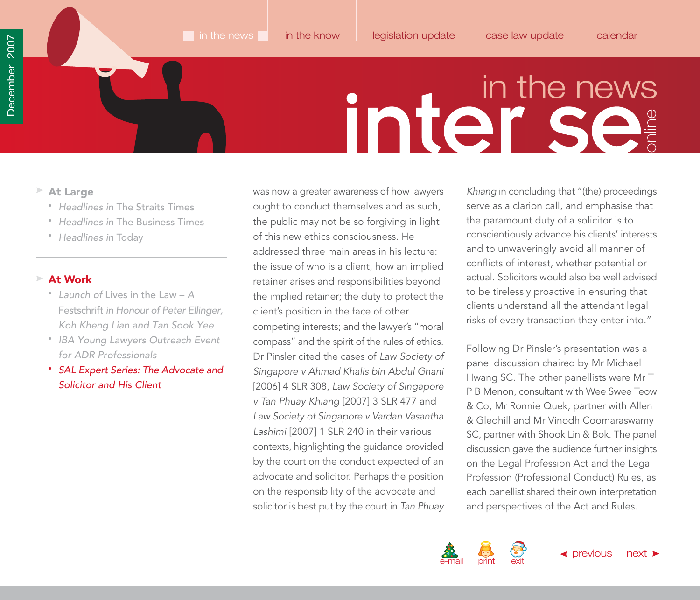- <span id="page-19-0"></span>**At Large**
	- Headlines in [The Straits Times](#page-1-0)
	- Headlines in [The Business Times](#page-10-0)
	- [Headlines in](#page-11-0) Today

### **At Work**

- Launch of Lives in the Law A Festschrift in Honour of Peter Ellinger, [Koh Kheng Lian and Tan Sook Yee](#page-13-0)
- [IBA Young Lawyers Outreach Event](#page-16-0) for ADR Professionals
- SAL Expert Series: The Advocate and Solicitor and His Client

was now a greater awareness of how lawyers ought to conduct themselves and as such, the public may not be so forgiving in light of this new ethics consciousness. He addressed three main areas in his lecture: the issue of who is a client, how an implied retainer arises and responsibilities beyond the implied retainer; the duty to protect the client's position in the face of other competing interests; and the lawyer's "moral compass" and the spirit of the rules of ethics. Dr Pinsler cited the cases of Law Society of Singapore v Ahmad Khalis bin Abdul Ghani [2006] 4 SLR 308, Law Society of Singapore v Tan Phuay Khiang [2007] 3 SLR 477 and Law Society of Singapore v Vardan Vasantha Lashimi [2007] 1 SLR 240 in their various contexts, highlighting the guidance provided by the court on the conduct expected of an advocate and solicitor. Perhaps the position on the responsibility of the advocate and solicitor is best put by the court in Tan Phuay

Khiang in concluding that "(the) proceedings serve as a clarion call, and emphasise that the paramount duty of a solicitor is to conscientiously advance his clients' interests and to unwaveringly avoid all manner of conflicts of interest, whether potential or actual. Solicitors would also be well advised to be tirelessly proactive in ensuring that clients understand all the attendant legal risks of every transaction they enter into."

Following Dr Pinsler's presentation was a panel discussion chaired by Mr Michael Hwang SC. The other panellists were Mr T P B Menon, consultant with Wee Swee Teow & Co, Mr Ronnie Quek, partner with Allen & Gledhill and Mr Vinodh Coomaraswamy SC, partner with Shook Lin & Bok. The panel discussion gave the audience further insights on the Legal Profession Act and the Legal Profession (Professional Conduct) Rules, as each panellist shared their own interpretation and perspectives of the Act and Rules.

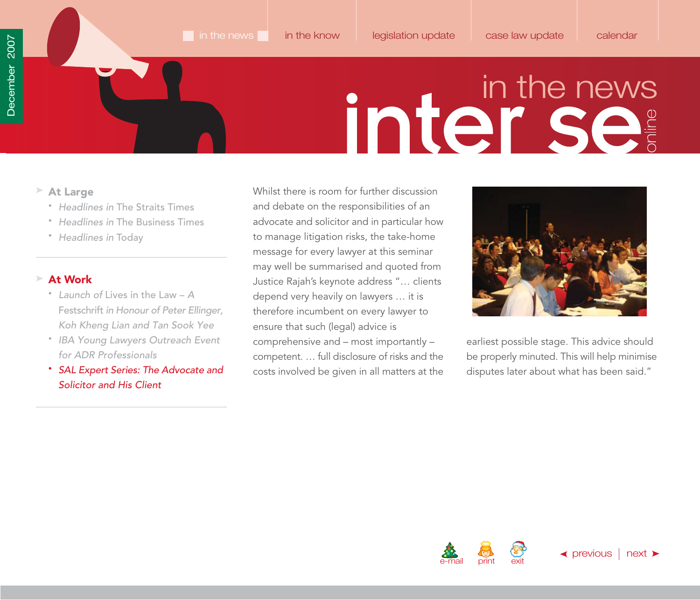- <span id="page-20-0"></span>**At Large**
	- Headlines in [The Straits Times](#page-1-0)
	- Headlines in [The Business Times](#page-10-0)
	- [Headlines in](#page-11-0) Today

### **At Work**

- Launch of Lives in the Law A Festschrift in Honour of Peter Ellinger, [Koh Kheng Lian and Tan Sook Yee](#page-13-0)
- [IBA Young Lawyers Outreach Event](#page-16-0) for ADR Professionals
- SAL Expert Series: The Advocate and Solicitor and His Client

Whilst there is room for further discussion and debate on the responsibilities of an advocate and solicitor and in particular how to manage litigation risks, the take-home message for every lawyer at this seminar may well be summarised and quoted from Justice Rajah's keynote address "… clients depend very heavily on lawyers … it is therefore incumbent on every lawyer to ensure that such (legal) advice is comprehensive and – most importantly – competent. … full disclosure of risks and the costs involved be given in all matters at the



earliest possible stage. This advice should be properly minuted. This will help minimise disputes later about what has been said."



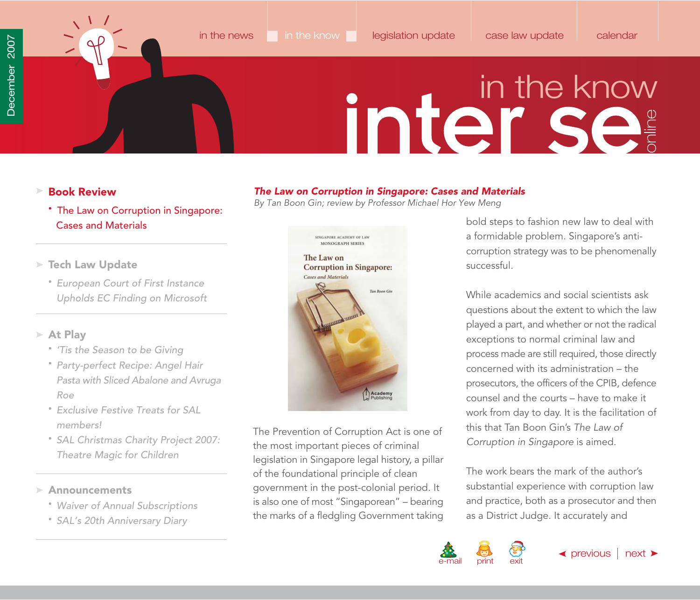<span id="page-21-0"></span>

*The Law on Corruption in Singapore: Cases and Materials* By Tan Boon Gin; review by Professor Michael Hor Yew Meng

### in the know

- **Book Review**
	- The Law on Corruption in Singapore: Cases and Materials
- **Tech Law Update**
	- European Court of First Instance [Upholds EC Finding on Microsoft](#page-23-0)

### **At Play**

- ['Tis the Season to be Giving](#page-27-0)
- Party-perfect Recipe: Angel Hair [Pasta with Sliced Abalone and Avruga](#page-28-0) Roe
- [Exclusive Festive Treats for SAL](#page-29-0)  members!
- [SAL Christmas Charity Project 2007:](#page-34-0) Theatre Magic for Children

### **Announcements**

- [Waiver of Annual Subscriptions](#page-35-0)
- [SAL's 20th Anniversary Diary](#page-37-0)



The Prevention of Corruption Act is one of the most important pieces of criminal legislation in Singapore legal history, a pillar of the foundational principle of clean government in the post-colonial period. It is also one of most "Singaporean" – bearing the marks of a fledgling Government taking bold steps to fashion new law to deal with a formidable problem. Singapore's anticorruption strategy was to be phenomenally successful.

While academics and social scientists ask questions about the extent to which the law played a part, and whether or not the radical exceptions to normal criminal law and process made are still required, those directly concerned with its administration – the prosecutors, the officers of the CPIB, defence counsel and the courts – have to make it work from day to day. It is the facilitation of this that Tan Boon Gin's The Law of Corruption in Singapore is aimed.

The work bears the mark of the author's substantial experience with corruption law and practice, both as a prosecutor and then as a District Judge. It accurately and

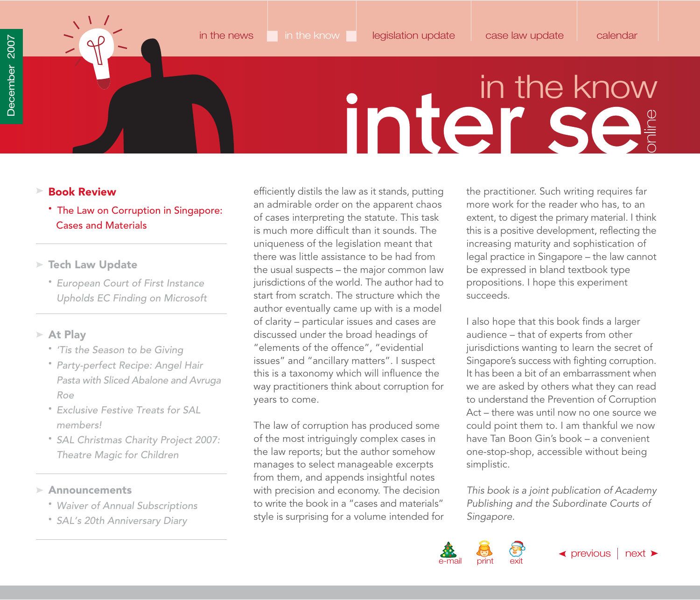- <span id="page-22-0"></span>**Book Review**
	- The Law on Corruption in Singapore: Cases and Materials
- **Tech Law Update**
	- European Court of First Instance [Upholds EC Finding on Microsoft](#page-23-0)
- **At Play**
	- ['Tis the Season to be Giving](#page-27-0)
	- Party-perfect Recipe: Angel Hair [Pasta with Sliced Abalone and Avruga](#page-28-0) Roe
	- [Exclusive Festive Treats for SAL](#page-29-0)  members!
	- [SAL Christmas Charity Project 2007:](#page-34-0) Theatre Magic for Children
- **Announcements**
	- [Waiver of Annual Subscriptions](#page-35-0)
	- [SAL's 20th Anniversary Diary](#page-37-0)

efficiently distils the law as it stands, putting an admirable order on the apparent chaos of cases interpreting the statute. This task is much more difficult than it sounds. The uniqueness of the legislation meant that there was little assistance to be had from the usual suspects – the major common law jurisdictions of the world. The author had to start from scratch. The structure which the author eventually came up with is a model of clarity – particular issues and cases are discussed under the broad headings of "elements of the offence", "evidential issues" and "ancillary matters". I suspect this is a taxonomy which will influence the way practitioners think about corruption for years to come.

The law of corruption has produced some of the most intriguingly complex cases in the law reports; but the author somehow manages to select manageable excerpts from them, and appends insightful notes with precision and economy. The decision to write the book in a "cases and materials" style is surprising for a volume intended for

the practitioner. Such writing requires far more work for the reader who has, to an extent, to digest the primary material. I think this is a positive development, reflecting the increasing maturity and sophistication of legal practice in Singapore – the law cannot be expressed in bland textbook type propositions. I hope this experiment succeeds.

I also hope that this book finds a larger audience – that of experts from other jurisdictions wanting to learn the secret of Singapore's success with fighting corruption. It has been a bit of an embarrassment when we are asked by others what they can read to understand the Prevention of Corruption Act – there was until now no one source we could point them to. I am thankful we now have Tan Boon Gin's book – a convenient one-stop-shop, accessible without being simplistic.

This book is a joint publication of Academy Publishing and the Subordinate Courts of Singapore.

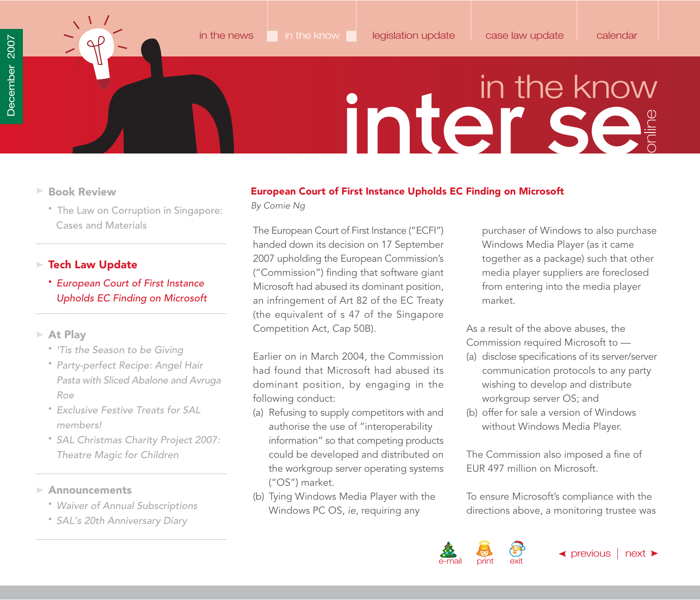<span id="page-23-0"></span>

- **Book Review**
	- [The Law on Corruption in Singapore:](#page-21-0) Cases and Materials

### **Tech Law Update**

• European Court of First Instance Upholds EC Finding on Microsoft

### **At Play**

- ['Tis the Season to be Giving](#page-27-0)
- Party-perfect Recipe: Angel Hair [Pasta with Sliced Abalone and Avruga](#page-28-0) Roe
- [Exclusive Festive Treats for SAL](#page-29-0)  members!
- [SAL Christmas Charity Project 2007:](#page-34-0) Theatre Magic for Children

### **Announcements**

- [Waiver of Annual Subscriptions](#page-35-0)
- [SAL's 20th Anniversary Diary](#page-37-0)

### **European Court of First Instance Upholds EC Finding on Microsoft**

By Cornie Ng

The European Court of First Instance ("ECFI") handed down its decision on 17 September 2007 upholding the European Commission's ("Commission") finding that software giant Microsoft had abused its dominant position, an infringement of Art 82 of the EC Treaty (the equivalent of s 47 of the Singapore Competition Act, Cap 50B).

Earlier on in March 2004, the Commission had found that Microsoft had abused its dominant position, by engaging in the following conduct:

- (a) Refusing to supply competitors with and authorise the use of "interoperability information" so that competing products could be developed and distributed on the workgroup server operating systems ("OS") market.
- (b) Tying Windows Media Player with the Windows PC OS, ie, requiring any

purchaser of Windows to also purchase Windows Media Player (as it came together as a package) such that other media player suppliers are foreclosed from entering into the media player market.

As a result of the above abuses, the Commission required Microsoft to ––

- (a) disclose specifications of its server/server communication protocols to any party wishing to develop and distribute workgroup server OS; and
- (b) offer for sale a version of Windows without Windows Media Player.

The Commission also imposed a fine of EUR 497 million on Microsoft.

To ensure Microsoft's compliance with the directions above, a monitoring trustee was

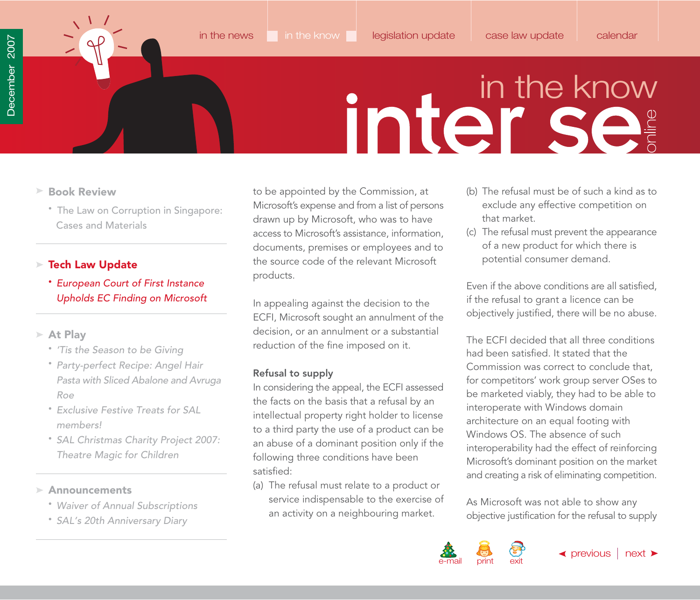

- <span id="page-24-0"></span>**Book Review**
	- [The Law on Corruption in Singapore:](#page-21-0) Cases and Materials

### **Tech Law Update**

• European Court of First Instance Upholds EC Finding on Microsoft

### **At Play**

- ['Tis the Season to be Giving](#page-27-0)
- Party-perfect Recipe: Angel Hair [Pasta with Sliced Abalone and Avruga](#page-28-0) Roe
- [Exclusive Festive Treats for SAL](#page-29-0)  members!
- [SAL Christmas Charity Project 2007:](#page-34-0) Theatre Magic for Children

**Announcements**

- [Waiver of Annual Subscriptions](#page-35-0)
- [SAL's 20th Anniversary Diary](#page-37-0)

to be appointed by the Commission, at Microsoft's expense and from a list of persons drawn up by Microsoft, who was to have access to Microsoft's assistance, information, documents, premises or employees and to the source code of the relevant Microsoft products.

In appealing against the decision to the ECFI, Microsoft sought an annulment of the decision, or an annulment or a substantial reduction of the fine imposed on it.

### **Refusal to supply**

In considering the appeal, the ECFI assessed the facts on the basis that a refusal by an intellectual property right holder to license to a third party the use of a product can be an abuse of a dominant position only if the following three conditions have been satisfied:

(a) The refusal must relate to a product or service indispensable to the exercise of an activity on a neighbouring market.

- (b) The refusal must be of such a kind as to exclude any effective competition on that market.
- (c) The refusal must prevent the appearance of a new product for which there is potential consumer demand.

Even if the above conditions are all satisfied, if the refusal to grant a licence can be objectively justified, there will be no abuse.

The ECFI decided that all three conditions had been satisfied. It stated that the Commission was correct to conclude that, for competitors' work group server OSes to be marketed viably, they had to be able to interoperate with Windows domain architecture on an equal footing with Windows OS. The absence of such interoperability had the effect of reinforcing Microsoft's dominant position on the market and creating a risk of eliminating competition.

As Microsoft was not able to show any objective justification for the refusal to supply

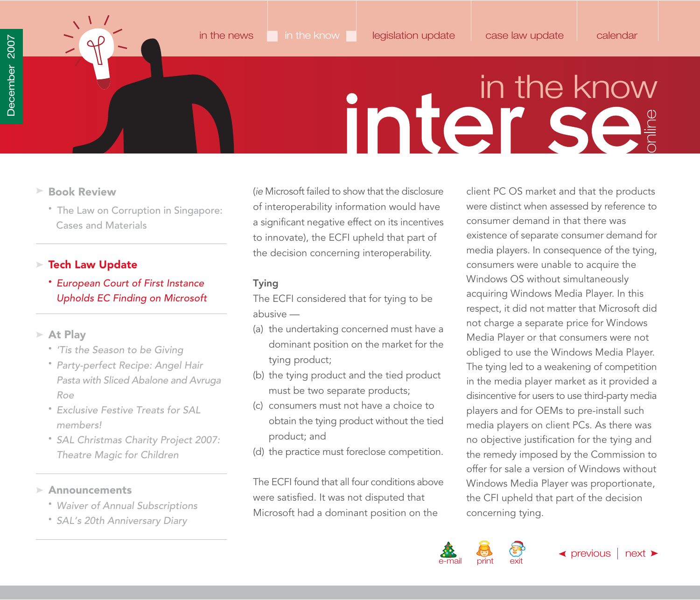

- <span id="page-25-0"></span>**Book Review**
	- [The Law on Corruption in Singapore:](#page-21-0) Cases and Materials

### **Tech Law Update**

• European Court of First Instance Upholds EC Finding on Microsoft

### **At Play**

- ['Tis the Season to be Giving](#page-27-0)
- Party-perfect Recipe: Angel Hair [Pasta with Sliced Abalone and Avruga](#page-28-0) Roe
- [Exclusive Festive Treats for SAL](#page-29-0)  members!
- [SAL Christmas Charity Project 2007:](#page-34-0) Theatre Magic for Children

### **Announcements**

- [Waiver of Annual Subscriptions](#page-35-0)
- [SAL's 20th Anniversary Diary](#page-37-0)

(ie Microsoft failed to show that the disclosure of interoperability information would have a significant negative effect on its incentives to innovate), the ECFI upheld that part of the decision concerning interoperability.

### **Tying**

The ECFI considered that for tying to be abusive —

- (a) the undertaking concerned must have a dominant position on the market for the tying product;
- (b) the tying product and the tied product must be two separate products;
- (c) consumers must not have a choice to obtain the tying product without the tied product; and
- (d) the practice must foreclose competition.

The ECFI found that all four conditions above were satisfied. It was not disputed that Microsoft had a dominant position on the

client PC OS market and that the products were distinct when assessed by reference to consumer demand in that there was existence of separate consumer demand for media players. In consequence of the tying, consumers were unable to acquire the Windows OS without simultaneously acquiring Windows Media Player. In this respect, it did not matter that Microsoft did not charge a separate price for Windows Media Player or that consumers were not obliged to use the Windows Media Player. The tying led to a weakening of competition in the media player market as it provided a disincentive for users to use third-party media players and for OEMs to pre-install such media players on client PCs. As there was no objective justification for the tying and the remedy imposed by the Commission to offer for sale a version of Windows without Windows Media Player was proportionate, the CFI upheld that part of the decision concerning tying.

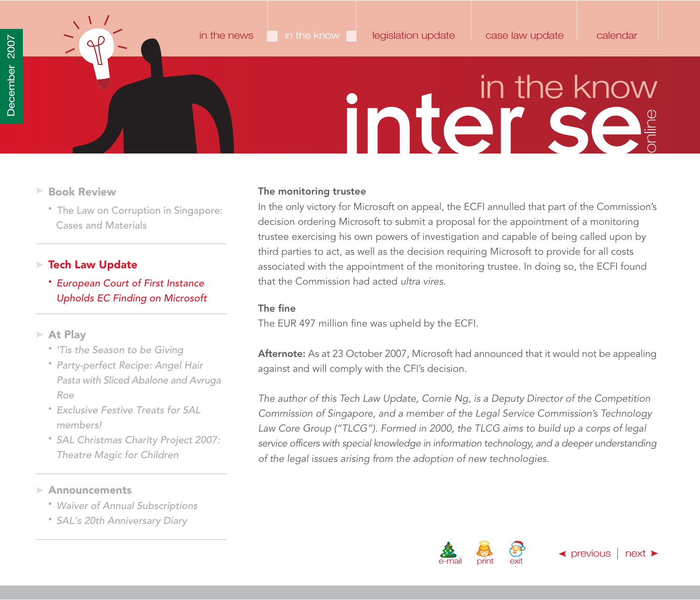<span id="page-26-0"></span>

- **Book Review**
	- [The Law on Corruption in Singapore:](#page-21-0) Cases and Materials

### **Tech Law Update**

- European Court of First Instance Upholds EC Finding on Microsoft
- **At Play**
	- ['Tis the Season to be Giving](#page-27-0)
	- Party-perfect Recipe: Angel Hair [Pasta with Sliced Abalone and Avruga](#page-28-0) Roe
	- [Exclusive Festive Treats for SAL](#page-29-0)  members!
	- [SAL Christmas Charity Project 2007:](#page-34-0) Theatre Magic for Children

### **Announcements**

- [Waiver of Annual Subscriptions](#page-35-0)
- [SAL's 20th Anniversary Diary](#page-37-0)

### **The monitoring trustee**

In the only victory for Microsoft on appeal, the ECFI annulled that part of the Commission's decision ordering Microsoft to submit a proposal for the appointment of a monitoring trustee exercising his own powers of investigation and capable of being called upon by third parties to act, as well as the decision requiring Microsoft to provide for all costs associated with the appointment of the monitoring trustee. In doing so, the ECFI found that the Commission had acted ultra vires.

### **The fine**

The EUR 497 million fine was upheld by the ECFI.

**Afternote:** As at 23 October 2007, Microsoft had announced that it would not be appealing against and will comply with the CFI's decision.

The author of this Tech Law Update, Cornie Ng, is a Deputy Director of the Competition Commission of Singapore, and a member of the Legal Service Commission's Technology Law Core Group ("TLCG"). Formed in 2000, the TLCG aims to build up a corps of legal service officers with special knowledge in information technology, and a deeper understanding of the legal issues arising from the adoption of new technologies.

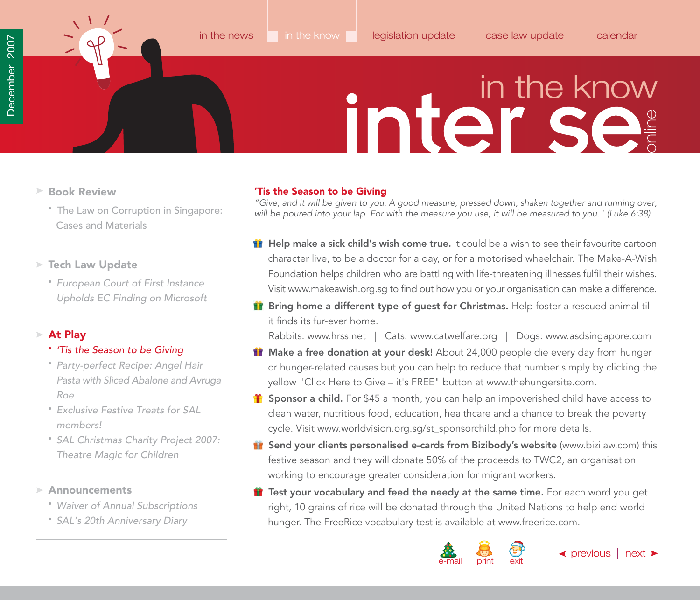- <span id="page-27-0"></span>**Book Review**
	- [The Law on Corruption in Singapore:](#page-21-0) Cases and Materials
- **Tech Law Update**
	- European Court of First Instance [Upholds EC Finding on Microsoft](#page-23-0)

### **At Play**

### • 'Tis the Season to be Giving

- Party-perfect Recipe: Angel Hair [Pasta with Sliced Abalone and Avruga](#page-28-0) Roe
- [Exclusive Festive Treats for SAL](#page-29-0)  members!
- [SAL Christmas Charity Project 2007:](#page-34-0) Theatre Magic for Children

**Announcements**

- [Waiver of Annual Subscriptions](#page-35-0)
- [SAL's 20th Anniversary Diary](#page-37-0)

### **'Tis the Season to be Giving**

"Give, and it will be given to you. A good measure, pressed down, shaken together and running over, will be poured into your lap. For with the measure you use, it will be measured to you." (Luke 6:38)

- **Help make a sick child's wish come true.** It could be a wish to see their favourite cartoon character live, to be a doctor for a day, or for a motorised wheelchair. The Make-A-Wish Foundation helps children who are battling with life-threatening illnesses fulfil their wishes. Visit [www.makeawish.org.sg](http://www.makeawish.org.sg) to find out how you or your organisation can make a difference.
- **Bring home a different type of guest for Christmas.** Help foster a rescued animal till it finds its fur-ever home.

Rabbits[: www.hrss.net |](http://www.hrss.net) Cats: [www.catwelfare.org](http://www.catwelfare.org) | Dogs[: www.asdsingapore.com](http://www.asdsingapore.com)

- **Make a free donation at your desk!** About 24,000 people die every day from hunger or hunger-related causes but you can help to reduce that number simply by clicking the yellow "Click Here to Give – it's FREE" button at [www.thehungersite.com.](http://www.thehungersite.com)
- **f** Sponsor a child. For \$45 a month, you can help an impoverished child have access to clean water, nutritious food, education, healthcare and a chance to break the poverty cycle. Visit [www.worldvision.org.sg/st\\_sponsorchild.php](http://www.worldvision.org.sg/st_sponsorchild.php) for more details.
- **Send your clients personalised e-cards from Bizibody's website** [\(www.bizilaw.com\) th](http://www.bizilaw.com)is festive season and they will donate 50% of the proceeds to TWC2, an organisation working to encourage greater consideration for migrant workers.
- **11** Test your vocabulary and feed the needy at the same time. For each word you get right, 10 grains of rice will be donated through the United Nations to help end world hunger. The FreeRice vocabulary test is available a[t www.freerice.com.](http://www.freerice.com)

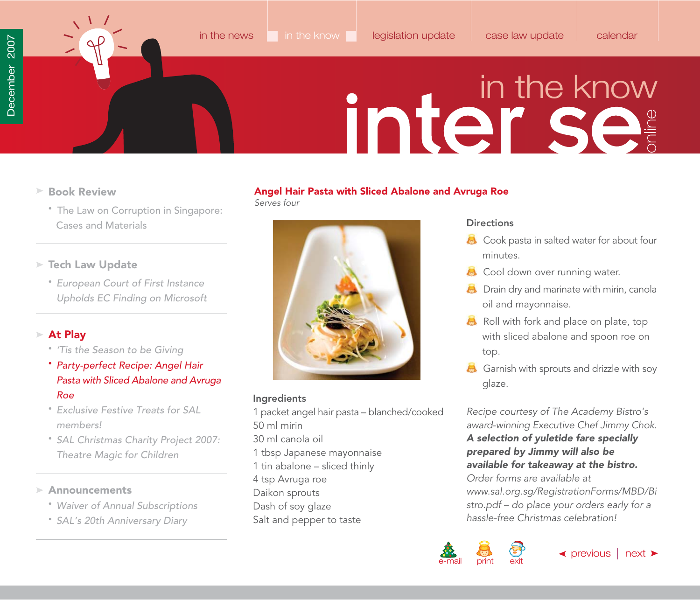<span id="page-28-0"></span>

- **Book Review**
	- [The Law on Corruption in Singapore:](#page-21-0) Cases and Materials
- **Tech Law Update**
	- European Court of First Instance [Upholds EC Finding on Microsoft](#page-23-0)

### **At Play**

- ['Tis the Season to be Giving](#page-27-0)
- Party-perfect Recipe: Angel Hair Pasta with Sliced Abalone and Avruga Roe
- [Exclusive Festive Treats for SAL](#page-29-0)  members!
- [SAL Christmas Charity Project 2007:](#page-34-0) Theatre Magic for Children

**Announcements**

- [Waiver of Annual Subscriptions](#page-35-0)
- [SAL's 20th Anniversary Diary](#page-37-0)

### **Angel Hair Pasta with Sliced Abalone and Avruga Roe** Serves four



### **Ingredients**

1 packet angel hair pasta – blanched/cooked 50 ml mirin 30 ml canola oil 1 tbsp Japanese mayonnaise 1 tin abalone – sliced thinly 4 tsp Avruga roe Daikon sprouts Dash of soy glaze Salt and pepper to taste

### **Directions**

- Cook pasta in salted water for about four minutes.
- **Cool down over running water.**
- **B** Drain dry and marinate with mirin, canola oil and mayonnaise.
- Roll with fork and place on plate, top with sliced abalone and spoon roe on top.
- Garnish with sprouts and drizzle with soy glaze.

Recipe courtesy of The Academy Bistro's award-winning Executive Chef Jimmy Chok.

*A selection of yuletide fare specially prepared by Jimmy will also be available for takeaway at the bistro.* Order forms are available at

[www.sal.org.sg/RegistrationForms/MBD/Bi](http://www.sal.org.sg/RegistrationForms/MBD/Bistro.pdf) stro.pdf – do place your orders early for a hassle-free Christmas celebration!

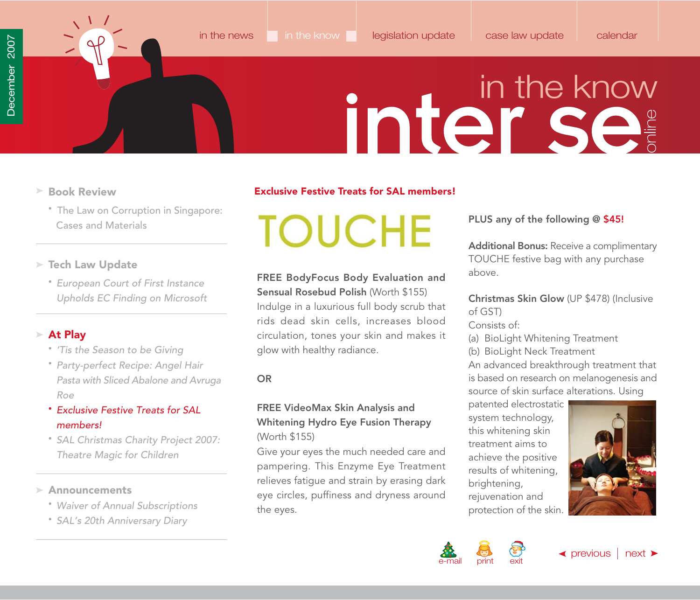- - [The Law on Corruption in Singapore:](#page-21-0) Cases and Materials
- **Tech Law Update**
	- European Court of First Instance [Upholds EC Finding on Microsoft](#page-23-0)

### **At Play**

- ['Tis the Season to be Giving](#page-27-0)
- Party-perfect Recipe: Angel Hair [Pasta with Sliced Abalone and Avruga](#page-28-0) Roe
- Exclusive Festive Treats for SAL members!
- [SAL Christmas Charity Project 2007:](#page-34-0) Theatre Magic for Children

### **Announcements**

- [Waiver of Annual Subscriptions](#page-35-0)
- [SAL's 20th Anniversary Diary](#page-37-0)

### <span id="page-29-0"></span>**Book Review Exclusive Festive Treats for SAL members!**

### **TOUCHE**

### **FREE BodyFocus Body Evaluation and**

**Sensual Rosebud Polish** (Worth \$155) Indulge in a luxurious full body scrub that rids dead skin cells, increases blood circulation, tones your skin and makes it glow with healthy radiance.

**OR**

### **FREE VideoMax Skin Analysis and Whitening Hydro Eye Fusion Therapy** (Worth \$155)

Give your eyes the much needed care and pampering. This Enzyme Eye Treatment relieves fatigue and strain by erasing dark eye circles, puffiness and dryness around the eyes.

**PLUS any of the following @ \$45!**

**Additional Bonus:** Receive a complimentary TOUCHE festive bag with any purchase above.

### **Christmas Skin Glow** (UP \$478) (Inclusive of GST)

Consists of:

- (a) BioLight Whitening Treatment
- (b) BioLight Neck Treatment

An advanced breakthrough treatment that is based on research on melanogenesis and source of skin surface alterations. Using

patented electrostatic system technology, this whitening skin treatment aims to achieve the positive results of whitening, brightening, rejuvenation and protection of the skin.





 $\blacktriangle$  [previous](#page-28-0)  $\mid$  [next](#page-30-0)  $\blacktriangleright$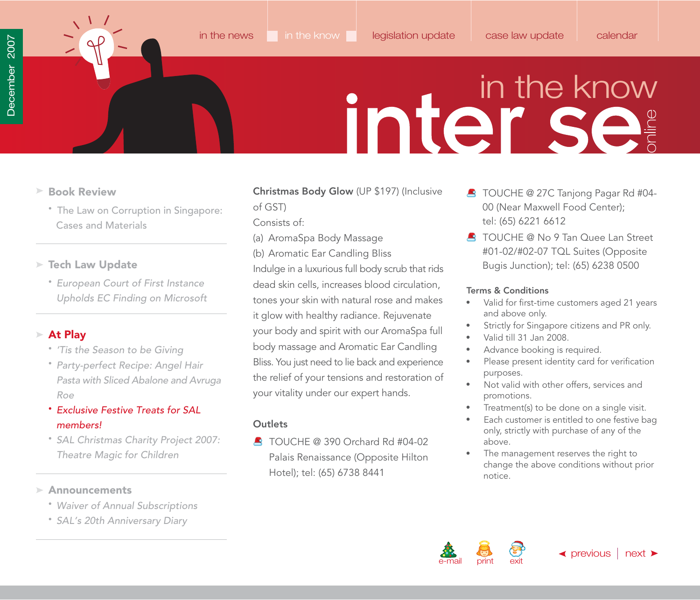<span id="page-30-0"></span>

- **Book Review**
	- [The Law on Corruption in Singapore:](#page-21-0) Cases and Materials
- **Tech Law Update**
	- European Court of First Instance [Upholds EC Finding on Microsoft](#page-23-0)

### **At Play**

- ['Tis the Season to be Giving](#page-27-0)
- Party-perfect Recipe: Angel Hair [Pasta with Sliced Abalone and Avruga](#page-28-0) Roe
- Exclusive Festive Treats for SAL members!
- [SAL Christmas Charity Project 2007:](#page-34-0) Theatre Magic for Children

### **Announcements**

- [Waiver of Annual Subscriptions](#page-35-0)
- [SAL's 20th Anniversary Diary](#page-37-0)

### **Christmas Body Glow** (UP \$197) (Inclusive of GST)

Consists of:

- (a) AromaSpa Body Massage
- (b) Aromatic Ear Candling Bliss

Indulge in a luxurious full body scrub that rids dead skin cells, increases blood circulation, tones your skin with natural rose and makes it glow with healthy radiance. Rejuvenate your body and spirit with our AromaSpa full body massage and Aromatic Ear Candling Bliss. You just need to lie back and experience the relief of your tensions and restoration of your vitality under our expert hands.

### **Outlets**

TOUCHE @ 390 Orchard Rd #04-02 Palais Renaissance (Opposite Hilton Hotel); tel: (65) 6738 8441

- **B** TOUCHE @ 27C Tanjong Pagar Rd #04-00 (Near Maxwell Food Center); tel: (65) 6221 6612
- **C** TOUCHE @ No 9 Tan Quee Lan Street #01-02/#02-07 TQL Suites (Opposite Bugis Junction); tel: (65) 6238 0500

### **Terms & Conditions**

- Valid for first-time customers aged 21 years  $\bullet$ and above only.
- Strictly for Singapore citizens and PR only.  $\bullet$
- Valid till 31 Jan 2008.
- Advance booking is required.  $\bullet$
- Please present identity card for verification  $\bullet$ purposes.
- Not valid with other offers, services and promotions.
- Treatment(s) to be done on a single visit.
- Each customer is entitled to one festive bag only, strictly with purchase of any of the above.
- The management reserves the right to change the above conditions without prior notice.



 $\blacktriangle$  [previous](#page-29-0)  $\mid$  [next](#page-31-0)  $\blacktriangleright$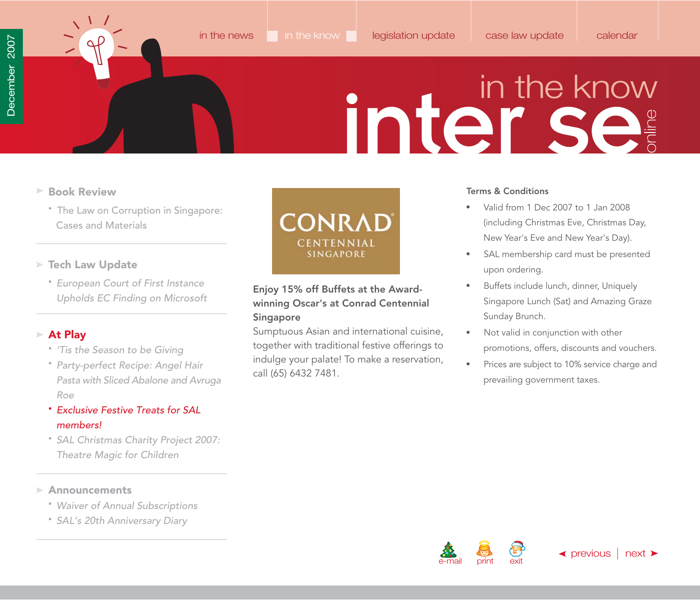<span id="page-31-0"></span>

- **Book Review**
	- [The Law on Corruption in Singapore:](#page-21-0) Cases and Materials
- **Tech Law Update**
	- European Court of First Instance [Upholds EC Finding on Microsoft](#page-23-0)

### **At Play**

- ['Tis the Season to be Giving](#page-27-0)
- Party-perfect Recipe: Angel Hair [Pasta with Sliced Abalone and Avruga](#page-28-0) Roe
- Exclusive Festive Treats for SAL members!
- [SAL Christmas Charity Project 2007:](#page-34-0) Theatre Magic for Children

### **Announcements**

- [Waiver of Annual Subscriptions](#page-35-0)
- [SAL's 20th Anniversary Diary](#page-37-0)



### **Enjoy 15% off Buffets at the Awardwinning Oscar's at Conrad Centennial Singapore**

Sumptuous Asian and international cuisine, together with traditional festive offerings to indulge your palate! To make a reservation, call (65) 6432 7481.

### **Terms & Conditions**

- Valid from 1 Dec 2007 to 1 Jan 2008 (including Christmas Eve, Christmas Day, New Year's Eve and New Year's Day).
- SAL membership card must be presented upon ordering.
- Buffets include lunch, dinner, Uniquely  $\bullet$ Singapore Lunch (Sat) and Amazing Graze Sunday Brunch.
- Not valid in conjunction with other  $\bullet$  . promotions, offers, discounts and vouchers.
- Prices are subject to 10% service charge and prevailing government taxes.



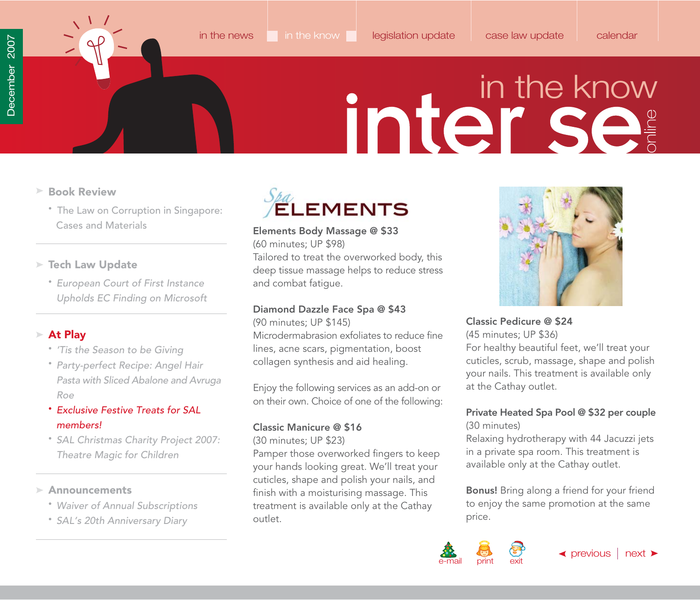<span id="page-32-0"></span>

- **Book Review**
	- [The Law on Corruption in Singapore:](#page-21-0) Cases and Materials

### **Tech Law Update**

• European Court of First Instance [Upholds EC Finding on Microsoft](#page-23-0)

### **At Play**

- ['Tis the Season to be Giving](#page-27-0)
- Party-perfect Recipe: Angel Hair [Pasta with Sliced Abalone and Avruga](#page-28-0) Roe
- Exclusive Festive Treats for SAL members!
- [SAL Christmas Charity Project 2007:](#page-34-0) Theatre Magic for Children

### **Announcements**

- [Waiver of Annual Subscriptions](#page-35-0)
- [SAL's 20th Anniversary Diary](#page-37-0)



**Elements Body Massage @ \$33** (60 minutes; UP \$98)

Tailored to treat the overworked body, this deep tissue massage helps to reduce stress and combat fatigue.

### **Diamond Dazzle Face Spa @ \$43**

(90 minutes; UP \$145)

Microdermabrasion exfoliates to reduce fine lines, acne scars, pigmentation, boost collagen synthesis and aid healing.

Enjoy the following services as an add-on or on their own. Choice of one of the following:

### **Classic Manicure @ \$16**

(30 minutes; UP \$23)

Pamper those overworked fingers to keep your hands looking great. We'll treat your cuticles, shape and polish your nails, and finish with a moisturising massage. This treatment is available only at the Cathay outlet.



### **Classic Pedicure @ \$24**

(45 minutes; UP \$36)

For healthy beautiful feet, we'll treat your cuticles, scrub, massage, shape and polish your nails. This treatment is available only at the Cathay outlet.

### **Private Heated Spa Pool @ \$32 per couple** (30 minutes)

Relaxing hydrotherapy with 44 Jacuzzi jets in a private spa room. This treatment is available only at the Cathay outlet.

**Bonus!** Bring along a friend for your friend to enjoy the same promotion at the same price.

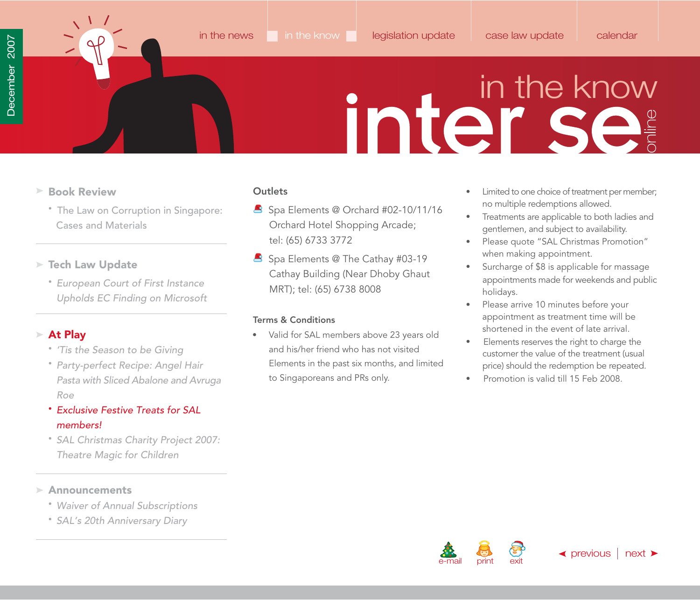- <span id="page-33-0"></span>**Book Review**
	- [The Law on Corruption in Singapore:](#page-21-0) Cases and Materials
- **Tech Law Update**
	- European Court of First Instance [Upholds EC Finding on Microsoft](#page-23-0)

### **At Play**

- ['Tis the Season to be Giving](#page-27-0)
- Party-perfect Recipe: Angel Hair [Pasta with Sliced Abalone and Avruga](#page-28-0) Roe
- Exclusive Festive Treats for SAL members!
- [SAL Christmas Charity Project 2007:](#page-34-0) Theatre Magic for Children

### **Announcements**

- [Waiver of Annual Subscriptions](#page-35-0)
- [SAL's 20th Anniversary Diary](#page-37-0)

### **Outlets**

- Spa Elements @ Orchard #02-10/11/16 Orchard Hotel Shopping Arcade; tel: (65) 6733 3772
- Spa Elements @ The Cathay #03-19 Cathay Building (Near Dhoby Ghaut MRT); tel: (65) 6738 8008

### **Terms & Conditions**

Valid for SAL members above 23 years old  $\bullet$  . and his/her friend who has not visited Elements in the past six months, and limited to Singaporeans and PRs only.

- Limited to one choice of treatment per member; no multiple redemptions allowed.
- Treatments are applicable to both ladies and gentlemen, and subject to availability.
- Please quote "SAL Christmas Promotion" when making appointment.
- Surcharge of \$8 is applicable for massage appointments made for weekends and public holidays.
- $\bullet$ Please arrive 10 minutes before your appointment as treatment time will be shortened in the event of late arrival.
- $\bullet$ Elements reserves the right to charge the customer the value of the treatment (usual price) should the redemption be repeated.
- Promotion is valid till 15 Feb 2008.



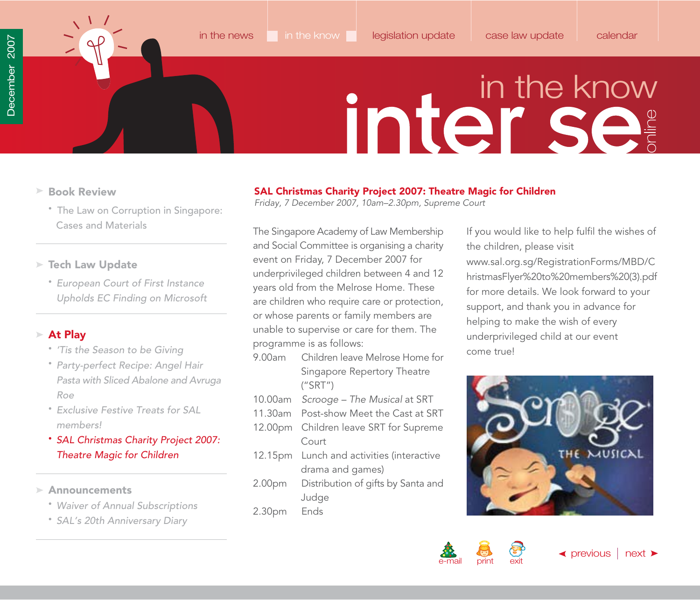- <span id="page-34-0"></span>**Book Review**
	- [The Law on Corruption in Singapore:](#page-21-0) Cases and Materials
- **Tech Law Update**
	- European Court of First Instance [Upholds EC Finding on Microsoft](#page-23-0)

### **At Play**

- ['Tis the Season to be Giving](#page-27-0)
- Party-perfect Recipe: Angel Hair [Pasta with Sliced Abalone and Avruga](#page-28-0) Roe
- [Exclusive Festive Treats for SAL](#page-29-0)  members!
- SAL Christmas Charity Project 2007: Theatre Magic for Children
- **Announcements**
	- [Waiver of Annual Subscriptions](#page-35-0)
	- [SAL's 20th Anniversary Diary](#page-37-0)

### **SAL Christmas Charity Project 2007: Theatre Magic for Children**

Friday, 7 December 2007, 10am–2.30pm, Supreme Court

The Singapore Academy of Law Membership and Social Committee is organising a charity event on Friday, 7 December 2007 for underprivileged children between 4 and 12 years old from the Melrose Home. These are children who require care or protection, or whose parents or family members are unable to supervise or care for them. The programme is as follows:

- 9.00am Children leave Melrose Home for Singapore Repertory Theatre ("SRT")
- 10.00am Scrooge The Musical at SRT
- 11.30am Post-show Meet the Cast at SRT
- 12.00pm Children leave SRT for Supreme Court
- 12.15pm Lunch and activities (interactive drama and games)
- 2.00pm Distribution of gifts by Santa and Judge
- 2.30pm Ends

If you would like to help fulfil the wishes of the children, please visit www.sal.org.sg/RegistrationForms/MBD/C [hristmasFlyer%20to%20members%20\(3\).pdf](www.sal.org.sg/RegistrationForms/MBD/ChristmasFlyer%20to%20members%20(3).pdf) for more details. We look forward to your support, and thank you in advance for helping to make the wish of every underprivileged child at our event come true!



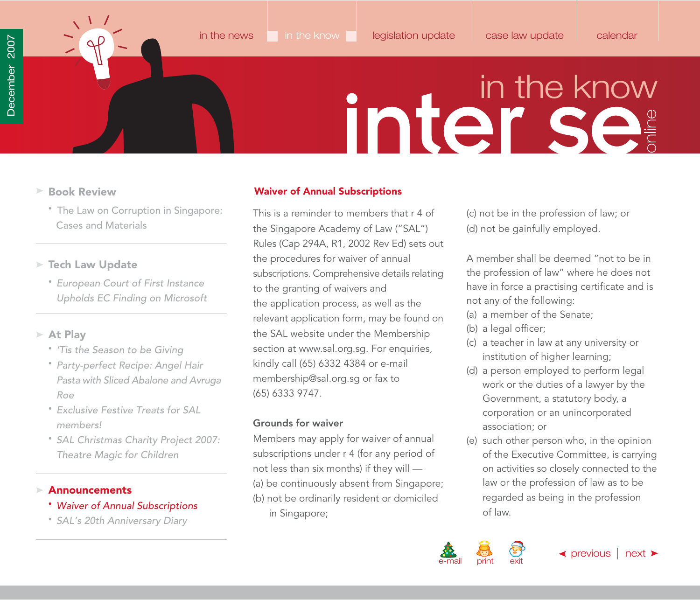<span id="page-35-0"></span>

- - [The Law on Corruption in Singapore:](#page-21-0) Cases and Materials

### **Tech Law Update**

• European Court of First Instance [Upholds EC Finding on Microsoft](#page-23-0)

### **At Play**

- ['Tis the Season to be Giving](#page-27-0)
- Party-perfect Recipe: Angel Hair [Pasta with Sliced Abalone and Avruga](#page-28-0) Roe
- [Exclusive Festive Treats for SAL](#page-29-0)  members!
- [SAL Christmas Charity Project 2007:](#page-34-0) Theatre Magic for Children

### **Announcements**

- Waiver of Annual Subscriptions
- [SAL's 20th Anniversary Diary](#page-37-0)

### **Book Review Waiver of Annual Subscriptions**

This is a reminder to members that r 4 of the Singapore Academy of Law ("SAL") Rules (Cap 294A, R1, 2002 Rev Ed) sets out the procedures for waiver of annual subscriptions. Comprehensive details relating to the granting of waivers and the application process, as well as the relevant application form, may be found on the SAL website under the Membership section a[t www.sal.org.sg. F](http://www.sal.org.sg)or enquiries, kindly call (65) 6332 4384 or e-mail [membership@sal.org.sg](mailto:membership@sal.org.sg) or fax to (65) 6333 9747.

### **Grounds for waiver**

Members may apply for waiver of annual subscriptions under r 4 (for any period of not less than six months) if they will — (a) be continuously absent from Singapore; (b) not be ordinarily resident or domiciled in Singapore;

(c) not be in the profession of law; or (d) not be gainfully employed.

A member shall be deemed "not to be in the profession of law" where he does not have in force a practising certificate and is not any of the following:

- (a) a member of the Senate;
- (b) a legal officer;
- (c) a teacher in law at any university or institution of higher learning;
- (d) a person employed to perform legal work or the duties of a lawyer by the Government, a statutory body, a corporation or an unincorporated association; or
- (e) such other person who, in the opinion of the Executive Committee, is carrying on activities so closely connected to the law or the profession of law as to be regarded as being in the profession of law.

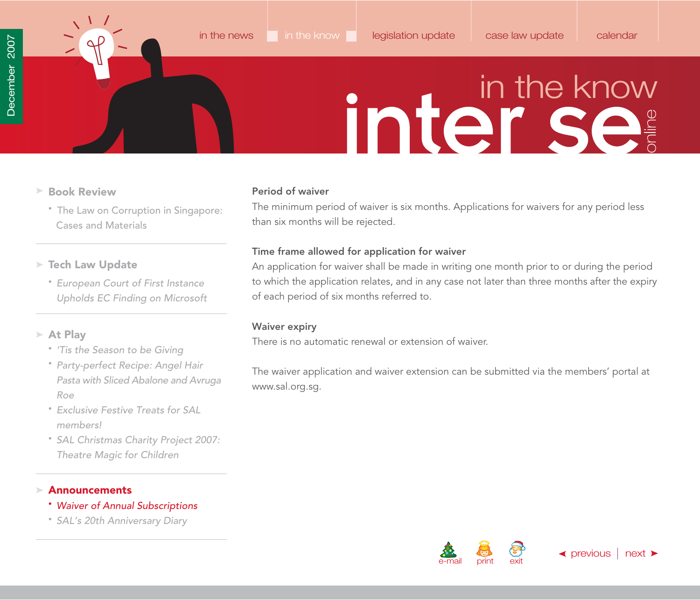<span id="page-36-0"></span>

- **Book Review**
	- [The Law on Corruption in Singapore:](#page-21-0) Cases and Materials
- **Tech Law Update**
	- European Court of First Instance [Upholds EC Finding on Microsoft](#page-23-0)
- **At Play**
	- ['Tis the Season to be Giving](#page-27-0)
	- Party-perfect Recipe: Angel Hair [Pasta with Sliced Abalone and Avruga](#page-28-0) Roe
	- [Exclusive Festive Treats for SAL](#page-29-0)  members!
	- [SAL Christmas Charity Project 2007:](#page-34-0) Theatre Magic for Children

### **Announcements**

- Waiver of Annual Subscriptions
- [SAL's 20th Anniversary Diary](#page-37-0)

### **Period of waiver**

The minimum period of waiver is six months. Applications for waivers for any period less than six months will be rejected.

### **Time frame allowed for application for waiver**

An application for waiver shall be made in writing one month prior to or during the period to which the application relates, and in any case not later than three months after the expiry of each period of six months referred to.

### **Waiver expiry**

There is no automatic renewal or extension of waiver.

The waiver application and waiver extension can be submitted via the members' portal at [www.sal.org.sg.](http://www.sal.org.sg)



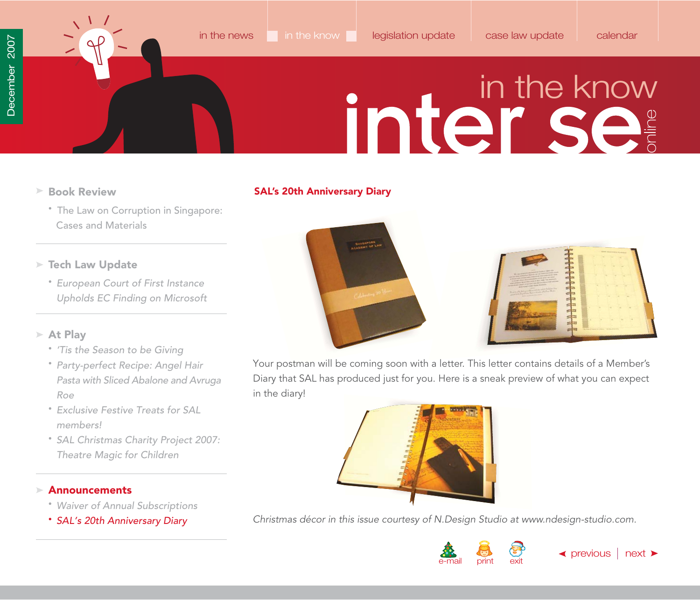<span id="page-37-0"></span>**Book Review**

### **SAL's 20th Anniversary Diary**

- [The Law on Corruption in Singapore:](#page-21-0) Cases and Materials
- **Tech Law Update**
	- European Court of First Instance [Upholds EC Finding on Microsoft](#page-23-0)

### **At Play**

- ['Tis the Season to be Giving](#page-27-0)
- Party-perfect Recipe: Angel Hair [Pasta with Sliced Abalone and Avruga](#page-28-0) Roe
- [Exclusive Festive Treats for SAL](#page-29-0)  members!
- [SAL Christmas Charity Project 2007:](#page-34-0) Theatre Magic for Children

### **Announcements**

- [Waiver of Annual Subscriptions](#page-35-0)
- SAL's 20th Anniversary Diary





Your postman will be coming soon with a letter. This letter contains details of a Member's Diary that SAL has produced just for you. Here is a sneak preview of what you can expect in the diary!



Christmas décor in this issue courtesy of N.Design Studio at [www.ndesign-studio.com.](http://www.ndesign-studio.com)

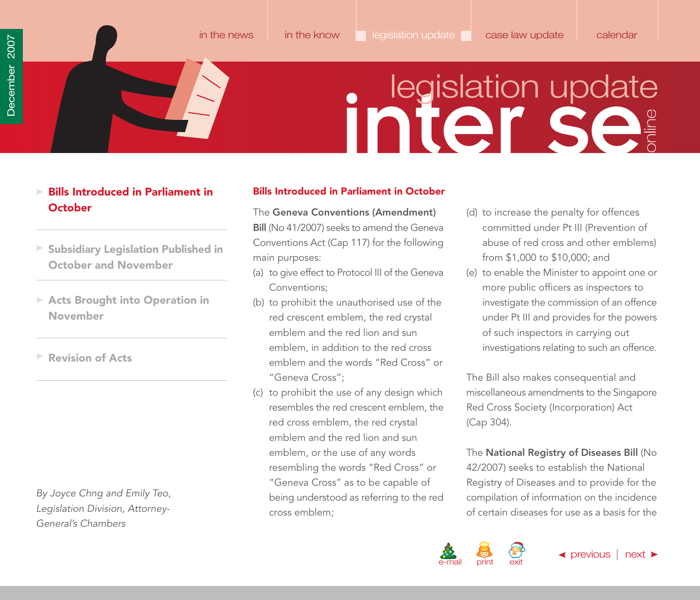[in the news](#page-1-0) [in the know](#page-21-0) legislation update [case law update](#page-49-0) [calendar](#page-56-0)

- <span id="page-38-0"></span>**Bills Introduced in Parliament in October**
- **[Subsidiary Legislation Published in](#page-44-0) October and November**
- **[Acts Brought into Operation in](#page-47-0) November**
- **[Revision of Acts](#page-48-0)**

By Joyce Chng and Emily Teo, Legislation Division, Attorney-General's Chambers

### **Bills Introduced in Parliament in October**

The **Geneva Conventions (Amendment) Bill** (No 41/2007) seeks to amend the Geneva Conventions Act (Cap 117) for the following main purposes:

- (a) to give effect to Protocol III of the Geneva Conventions;
- (b) to prohibit the unauthorised use of the red crescent emblem, the red crystal emblem and the red lion and sun emblem, in addition to the red cross emblem and the words "Red Cross" or "Geneva Cross";
- (c) to prohibit the use of any design which resembles the red crescent emblem, the red cross emblem, the red crystal emblem and the red lion and sun emblem, or the use of any words resembling the words "Red Cross" or "Geneva Cross" as to be capable of being understood as referring to the red cross emblem;
- (d) to increase the penalty for offences committed under Pt III (Prevention of abuse of red cross and other emblems) from \$1,000 to \$10,000; and
- (e) to enable the Minister to appoint one or more public officers as inspectors to investigate the commission of an offence under Pt III and provides for the powers of such inspectors in carrying out investigations relating to such an offence.

The Bill also makes consequential and miscellaneous amendments to the Singapore Red Cross Society (Incorporation) Act (Cap 304).

### The **National Registry of Diseases Bill** (No

42/2007) seeks to establish the National Registry of Diseases and to provide for the compilation of information on the incidence of certain diseases for use as a basis for the

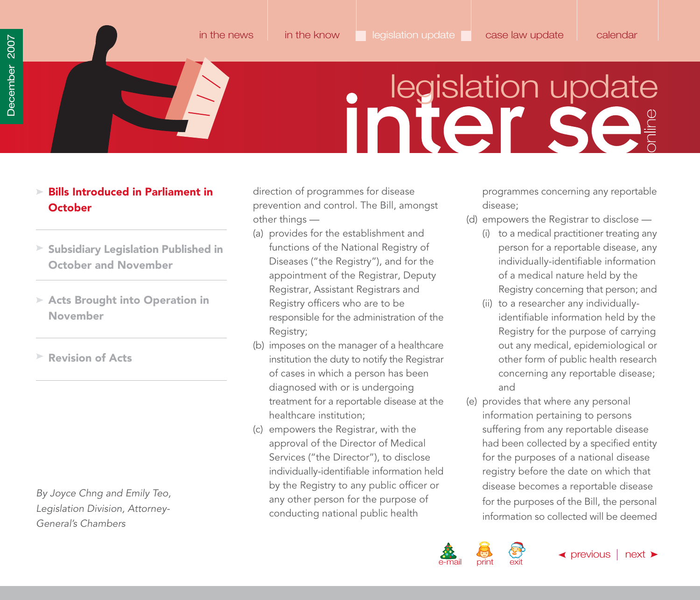### <span id="page-39-0"></span>**Bills Introduced in Parliament in October**

- **[Subsidiary Legislation Published in](#page-44-0) October and November**
- **[Acts Brought into Operation in](#page-47-0) November**
- **[Revision of Acts](#page-48-0)**

By Joyce Chng and Emily Teo, Legislation Division, Attorney-General's Chambers

direction of programmes for disease prevention and control. The Bill, amongst other things —

- (a) provides for the establishment and functions of the National Registry of Diseases ("the Registry"), and for the appointment of the Registrar, Deputy Registrar, Assistant Registrars and Registry officers who are to be responsible for the administration of the Registry;
- (b) imposes on the manager of a healthcare institution the duty to notify the Registrar of cases in which a person has been diagnosed with or is undergoing treatment for a reportable disease at the healthcare institution;
- (c) empowers the Registrar, with the approval of the Director of Medical Services ("the Director"), to disclose individually-identifiable information held by the Registry to any public officer or any other person for the purpose of conducting national public health

programmes concerning any reportable disease;

- (d) empowers the Registrar to disclose
	- (i) to a medical practitioner treating any person for a reportable disease, any individually-identifiable information of a medical nature held by the Registry concerning that person; and
	- (ii) to a researcher any individuallyidentifiable information held by the Registry for the purpose of carrying out any medical, epidemiological or other form of public health research concerning any reportable disease; and
- (e) provides that where any personal information pertaining to persons suffering from any reportable disease had been collected by a specified entity for the purposes of a national disease registry before the date on which that disease becomes a reportable disease for the purposes of the Bill, the personal information so collected will be deemed

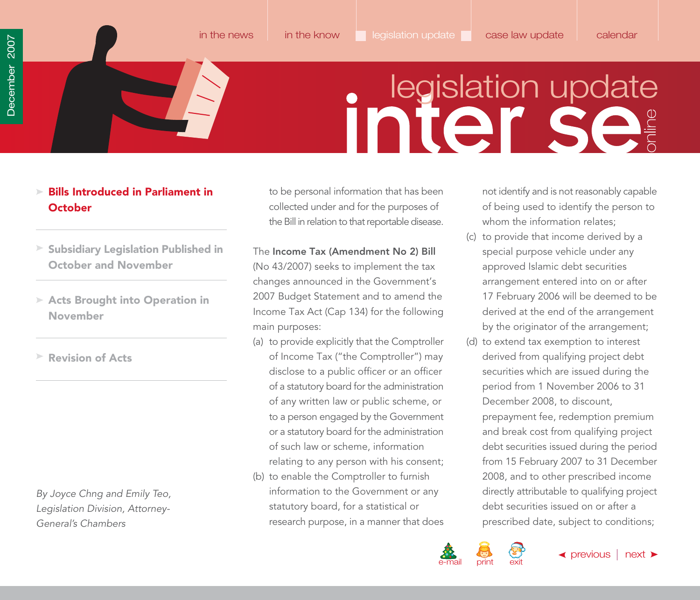### <span id="page-40-0"></span>**Bills Introduced in Parliament in October**

- **[Subsidiary Legislation Published in](#page-44-0) October and November**
- **[Acts Brought into Operation in](#page-47-0) November**
- **[Revision of Acts](#page-48-0)**

By Joyce Chng and Emily Teo, Legislation Division, Attorney-General's Chambers

to be personal information that has been collected under and for the purposes of the Bill in relation to that reportable disease.

- The **Income Tax (Amendment No 2) Bill** (No 43/2007) seeks to implement the tax changes announced in the Government's 2007 Budget Statement and to amend the Income Tax Act (Cap 134) for the following main purposes:
- (a) to provide explicitly that the Comptroller of Income Tax ("the Comptroller") may disclose to a public officer or an officer of a statutory board for the administration of any written law or public scheme, or to a person engaged by the Government or a statutory board for the administration of such law or scheme, information relating to any person with his consent;
- (b) to enable the Comptroller to furnish information to the Government or any statutory board, for a statistical or research purpose, in a manner that does

not identify and is not reasonably capable of being used to identify the person to whom the information relates;

- (c) to provide that income derived by a special purpose vehicle under any approved Islamic debt securities arrangement entered into on or after 17 February 2006 will be deemed to be derived at the end of the arrangement by the originator of the arrangement;
- (d) to extend tax exemption to interest derived from qualifying project debt securities which are issued during the period from 1 November 2006 to 31 December 2008, to discount, prepayment fee, redemption premium and break cost from qualifying project debt securities issued during the period from 15 February 2007 to 31 December 2008, and to other prescribed income directly attributable to qualifying project debt securities issued on or after a prescribed date, subject to conditions;

 $\blacktriangleleft$  [previous](#page-39-0)  $\mid$  [next](#page-41-0)  $\blacktriangleright$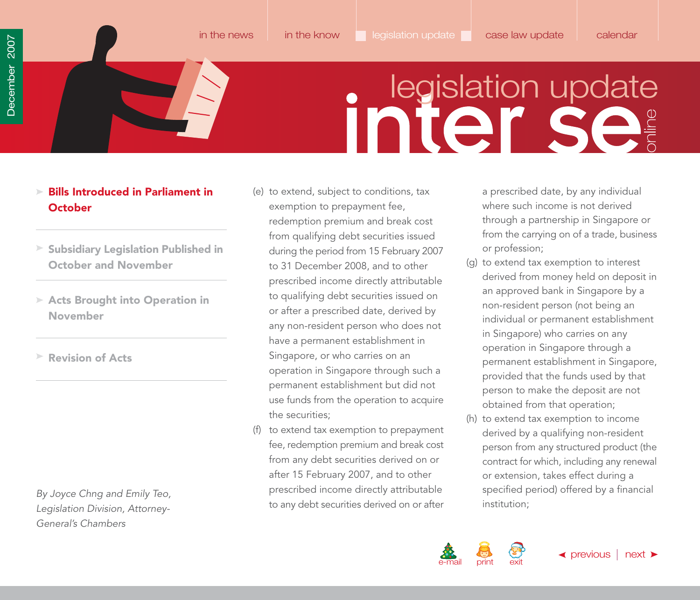- <span id="page-41-0"></span>**Bills Introduced in Parliament in October**
- **[Subsidiary Legislation Published in](#page-44-0) October and November**
- **[Acts Brought into Operation in](#page-47-0) November**
- **[Revision of Acts](#page-48-0)**

By Joyce Chng and Emily Teo, Legislation Division, Attorney-General's Chambers

- (e) to extend, subject to conditions, tax exemption to prepayment fee, redemption premium and break cost from qualifying debt securities issued during the period from 15 February 2007 to 31 December 2008, and to other prescribed income directly attributable to qualifying debt securities issued on or after a prescribed date, derived by any non-resident person who does not have a permanent establishment in Singapore, or who carries on an operation in Singapore through such a permanent establishment but did not use funds from the operation to acquire the securities;
- (f) to extend tax exemption to prepayment fee, redemption premium and break cost from any debt securities derived on or after 15 February 2007, and to other prescribed income directly attributable to any debt securities derived on or after

a prescribed date, by any individual where such income is not derived through a partnership in Singapore or from the carrying on of a trade, business or profession;

- (g) to extend tax exemption to interest derived from money held on deposit in an approved bank in Singapore by a non-resident person (not being an individual or permanent establishment in Singapore) who carries on any operation in Singapore through a permanent establishment in Singapore, provided that the funds used by that person to make the deposit are not obtained from that operation;
- (h) to extend tax exemption to income derived by a qualifying non-resident person from any structured product (the contract for which, including any renewal or extension, takes effect during a specified period) offered by a financial institution;



[in the news](#page-1-0) [in the know](#page-21-0) legislation update [case law update](#page-49-0) [calendar](#page-56-0)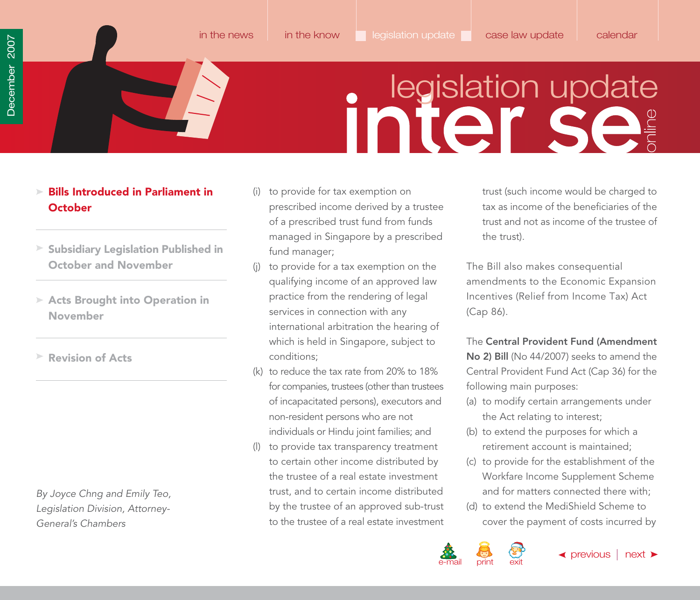- <span id="page-42-0"></span>**Bills Introduced in Parliament in October**
- **[Subsidiary Legislation Published in](#page-44-0) October and November**
- **[Acts Brought into Operation in](#page-47-0) November**
- **[Revision of Acts](#page-48-0)**

By Joyce Chng and Emily Teo, Legislation Division, Attorney-General's Chambers

- (i) to provide for tax exemption on prescribed income derived by a trustee of a prescribed trust fund from funds managed in Singapore by a prescribed fund manager;
- to provide for a tax exemption on the qualifying income of an approved law practice from the rendering of legal services in connection with any international arbitration the hearing of which is held in Singapore, subject to conditions;
- (k) to reduce the tax rate from 20% to 18% for companies, trustees (other than trustees of incapacitated persons), executors and non-resident persons who are not individuals or Hindu joint families; and
- (l) to provide tax transparency treatment to certain other income distributed by the trustee of a real estate investment trust, and to certain income distributed by the trustee of an approved sub-trust to the trustee of a real estate investment

trust (such income would be charged to tax as income of the beneficiaries of the trust and not as income of the trustee of the trust).

The Bill also makes consequential amendments to the Economic Expansion Incentives (Relief from Income Tax) Act (Cap 86).

The **Central Provident Fund (Amendment No 2) Bill** (No 44/2007) seeks to amend the Central Provident Fund Act (Cap 36) for the following main purposes:

- (a) to modify certain arrangements under the Act relating to interest;
- (b) to extend the purposes for which a retirement account is maintained;
- (c) to provide for the establishment of the Workfare Income Supplement Scheme and for matters connected there with;
- (d) to extend the MediShield Scheme to cover the payment of costs incurred by

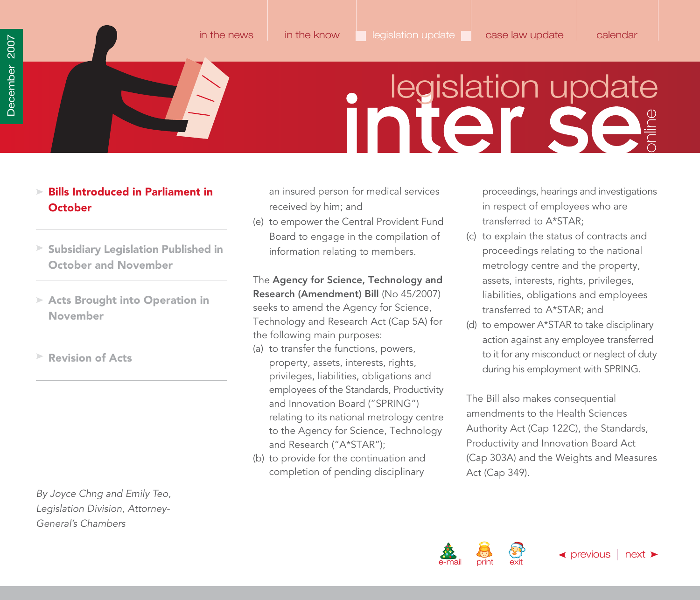### <span id="page-43-0"></span>**Bills Introduced in Parliament in October**

- **[Subsidiary Legislation Published in](#page-44-0) October and November**
- **[Acts Brought into Operation in](#page-47-0) November**
- **[Revision of Acts](#page-48-0)**

By Joyce Chng and Emily Teo, Legislation Division, Attorney-General's Chambers

an insured person for medical services received by him; and

(e) to empower the Central Provident Fund Board to engage in the compilation of information relating to members.

### The **Agency for Science, Technology and**

**Research (Amendment) Bill** (No 45/2007) seeks to amend the Agency for Science, Technology and Research Act (Cap 5A) for the following main purposes:

- (a) to transfer the functions, powers, property, assets, interests, rights, privileges, liabilities, obligations and employees of the Standards, Productivity and Innovation Board ("SPRING") relating to its national metrology centre to the Agency for Science, Technology and Research ("A\*STAR");
- (b) to provide for the continuation and completion of pending disciplinary

proceedings, hearings and investigations in respect of employees who are transferred to A\*STAR;

- (c) to explain the status of contracts and proceedings relating to the national metrology centre and the property, assets, interests, rights, privileges, liabilities, obligations and employees transferred to A\*STAR; and
- (d) to empower A\*STAR to take disciplinary action against any employee transferred to it for any misconduct or neglect of duty during his employment with SPRING.

The Bill also makes consequential amendments to the Health Sciences Authority Act (Cap 122C), the Standards, Productivity and Innovation Board Act (Cap 303A) and the Weights and Measures Act (Cap 349).

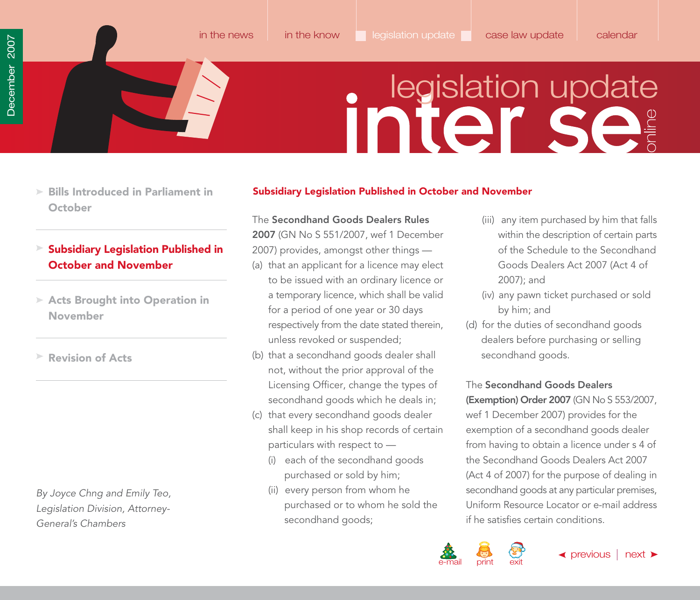- <span id="page-44-0"></span>**[Bills Introduced in Parliament in](#page-38-0) October**
- **Subsidiary Legislation Published in October and November**
- **[Acts Brought into Operation in](#page-47-0) November**
- **[Revision of Acts](#page-48-0)**

By Joyce Chng and Emily Teo, Legislation Division, Attorney-General's Chambers

### **Subsidiary Legislation Published in October and November**

### The **Secondhand Goods Dealers Rules**

**2007** (GN No S 551/2007, wef 1 December 2007) provides, amongst other things —

- (a) that an applicant for a licence may elect to be issued with an ordinary licence or a temporary licence, which shall be valid for a period of one year or 30 days respectively from the date stated therein, unless revoked or suspended;
- (b) that a secondhand goods dealer shall not, without the prior approval of the Licensing Officer, change the types of secondhand goods which he deals in;
- (c) that every secondhand goods dealer shall keep in his shop records of certain particulars with respect to —
	- (i) each of the secondhand goods purchased or sold by him;
	- (ii) every person from whom he purchased or to whom he sold the secondhand goods;
- (iii) any item purchased by him that falls within the description of certain parts of the Schedule to the Secondhand Goods Dealers Act 2007 (Act 4 of 2007); and
- (iv) any pawn ticket purchased or sold by him; and
- (d) for the duties of secondhand goods dealers before purchasing or selling secondhand goods.

### The **Secondhand Goods Dealers**

**(Exemption) Order 2007** (GN No S 553/2007, wef 1 December 2007) provides for the exemption of a secondhand goods dealer from having to obtain a licence under s 4 of the Secondhand Goods Dealers Act 2007 (Act 4 of 2007) for the purpose of dealing in secondhand goods at any particular premises, Uniform Resource Locator or e-mail address if he satisfies certain conditions.

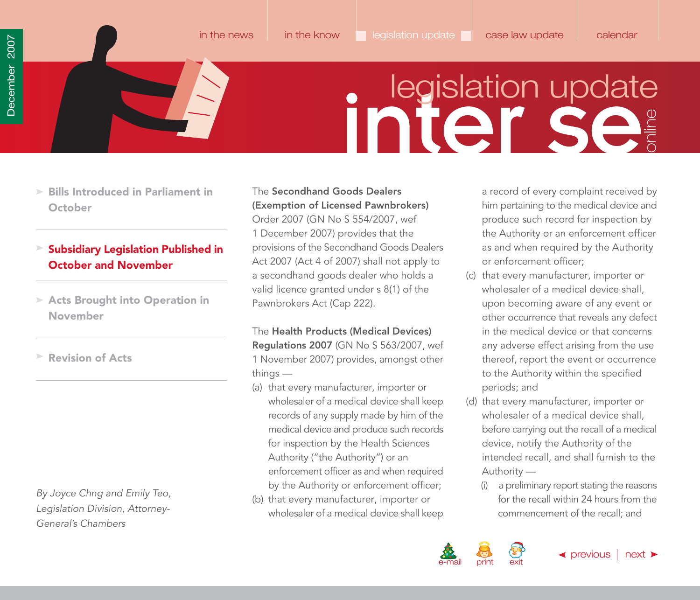<span id="page-45-0"></span>**[Bills Introduced in Parliament in](#page-38-0) October**

### **Subsidiary Legislation Published in October and November**

**[Acts Brought into Operation in](#page-47-0) November**

**[Revision of Acts](#page-48-0)**

By Joyce Chng and Emily Teo, Legislation Division, Attorney-General's Chambers

### The **Secondhand Goods Dealers (Exemption of Licensed Pawnbrokers)**

Order 2007 (GN No S 554/2007, wef 1 December 2007) provides that the provisions of the Secondhand Goods Dealers Act 2007 (Act 4 of 2007) shall not apply to a secondhand goods dealer who holds a valid licence granted under s 8(1) of the Pawnbrokers Act (Cap 222).

The **Health Products (Medical Devices) Regulations 2007** (GN No S 563/2007, wef 1 November 2007) provides, amongst other things —

- (a) that every manufacturer, importer or wholesaler of a medical device shall keep records of any supply made by him of the medical device and produce such records for inspection by the Health Sciences Authority ("the Authority") or an enforcement officer as and when required by the Authority or enforcement officer;
- (b) that every manufacturer, importer or wholesaler of a medical device shall keep

a record of every complaint received by him pertaining to the medical device and produce such record for inspection by the Authority or an enforcement officer as and when required by the Authority or enforcement officer;

- (c) that every manufacturer, importer or wholesaler of a medical device shall, upon becoming aware of any event or other occurrence that reveals any defect in the medical device or that concerns any adverse effect arising from the use thereof, report the event or occurrence to the Authority within the specified periods; and
- (d) that every manufacturer, importer or wholesaler of a medical device shall, before carrying out the recall of a medical device, notify the Authority of the intended recall, and shall furnish to the Authority —
	- (i) a preliminary report stating the reasons for the recall within 24 hours from the commencement of the recall; and

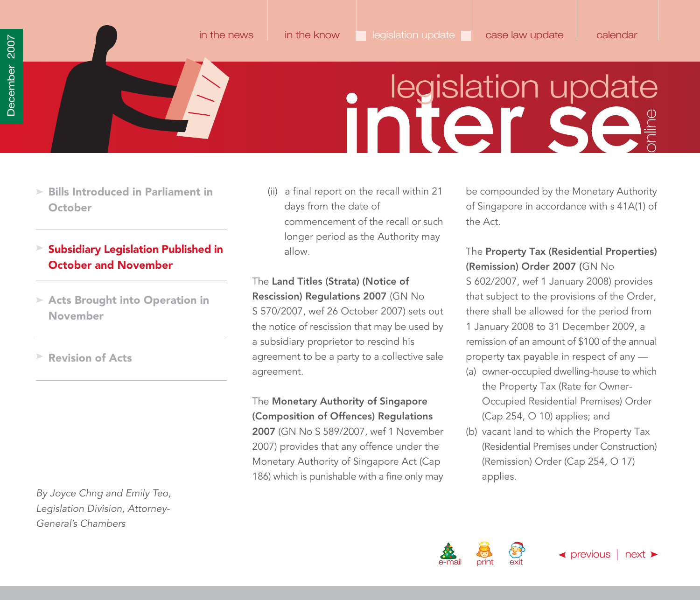[in the news](#page-1-0) [in the know](#page-21-0) legislation update [case law update](#page-49-0) [calendar](#page-56-0)

- <span id="page-46-0"></span>**[Bills Introduced in Parliament in](#page-38-0) October**
- **Subsidiary Legislation Published in October and November**
- **[Acts Brought into Operation in](#page-47-0) November**
- **[Revision of Acts](#page-48-0)**

By Joyce Chng and Emily Teo, Legislation Division, Attorney-General's Chambers

(ii) a final report on the recall within 21 days from the date of commencement of the recall or such longer period as the Authority may allow.

The **Land Titles (Strata) (Notice of Rescission) Regulations 2007** (GN No S 570/2007, wef 26 October 2007) sets out the notice of rescission that may be used by a subsidiary proprietor to rescind his agreement to be a party to a collective sale agreement.

The **Monetary Authority of Singapore (Composition of Offences) Regulations 2007** (GN No S 589/2007, wef 1 November 2007) provides that any offence under the Monetary Authority of Singapore Act (Cap 186) which is punishable with a fine only may

be compounded by the Monetary Authority of Singapore in accordance with s 41A(1) of the Act.

### The **Property Tax (Residential Properties) (Remission) Order 2007 (**GN No

S 602/2007, wef 1 January 2008) provides that subject to the provisions of the Order, there shall be allowed for the period from 1 January 2008 to 31 December 2009, a remission of an amount of \$100 of the annual property tax payable in respect of any —

- (a) owner-occupied dwelling-house to which the Property Tax (Rate for Owner-Occupied Residential Premises) Order (Cap 254, O 10) applies; and
- (b) vacant land to which the Property Tax (Residential Premises under Construction) (Remission) Order (Cap 254, O 17) applies.

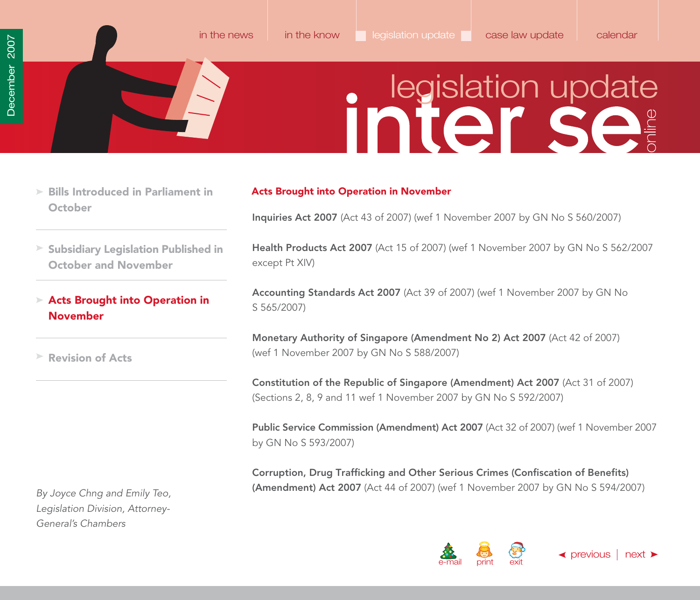- <span id="page-47-0"></span>**[Bills Introduced in Parliament in](#page-38-0) October**
- **[Subsidiary Legislation Published in](#page-44-0) October and November**
- **Acts Brought into Operation in November**

**[Revision of Acts](#page-48-0)**

By Joyce Chng and Emily Teo, Legislation Division, Attorney-General's Chambers

### **Acts Brought into Operation in November**

**Inquiries Act 2007** (Act 43 of 2007) (wef 1 November 2007 by GN No S 560/2007)

[in the news](#page-1-0) [in the know](#page-21-0) legislation update [case law update](#page-49-0) [calendar](#page-56-0)

**Health Products Act 2007** (Act 15 of 2007) (wef 1 November 2007 by GN No S 562/2007 except Pt XIV)

**Accounting Standards Act 2007** (Act 39 of 2007) (wef 1 November 2007 by GN No S 565/2007)

**Monetary Authority of Singapore (Amendment No 2) Act 2007** (Act 42 of 2007) (wef 1 November 2007 by GN No S 588/2007)

**Constitution of the Republic of Singapore (Amendment) Act 2007** (Act 31 of 2007) (Sections 2, 8, 9 and 11 wef 1 November 2007 by GN No S 592/2007)

**Public Service Commission (Amendment) Act 2007** (Act 32 of 2007) (wef 1 November 2007 by GN No S 593/2007)

**Corruption, Drug Trafficking and Other Serious Crimes (Confiscation of Benefits) (Amendment) Act 2007** (Act 44 of 2007) (wef 1 November 2007 by GN No S 594/2007)

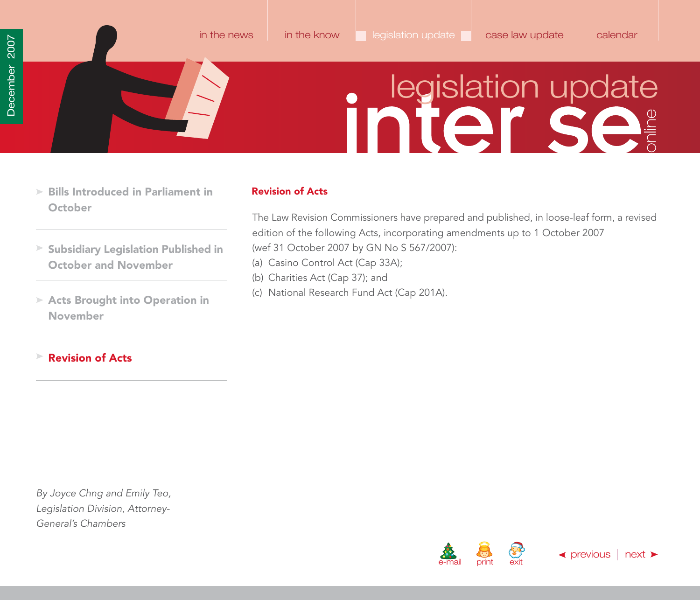<span id="page-48-0"></span>**[Bills Introduced in Parliament in](#page-38-0) October**

### **Revision of Acts**

- **[Subsidiary Legislation Published in](#page-44-0) October and November**
- **[Acts Brought into Operation in](#page-47-0) November**

### **Revision of Acts**

By Joyce Chng and Emily Teo, Legislation Division, Attorney-General's Chambers

### The Law Revision Commissioners have prepared and published, in loose-leaf form, a revised edition of the following Acts, incorporating amendments up to 1 October 2007 (wef 31 October 2007 by GN No S 567/2007):

- (a) Casino Control Act (Cap 33A);
- (b) Charities Act (Cap 37); and
- (c) National Research Fund Act (Cap 201A).



[in the news](#page-1-0) [in the know](#page-21-0) legislation update [case law update](#page-49-0) [calendar](#page-56-0)

 $\blacktriangleleft$  [previous](#page-47-0)  $\mid$  [next](#page-49-0)  $\blacktriangleright$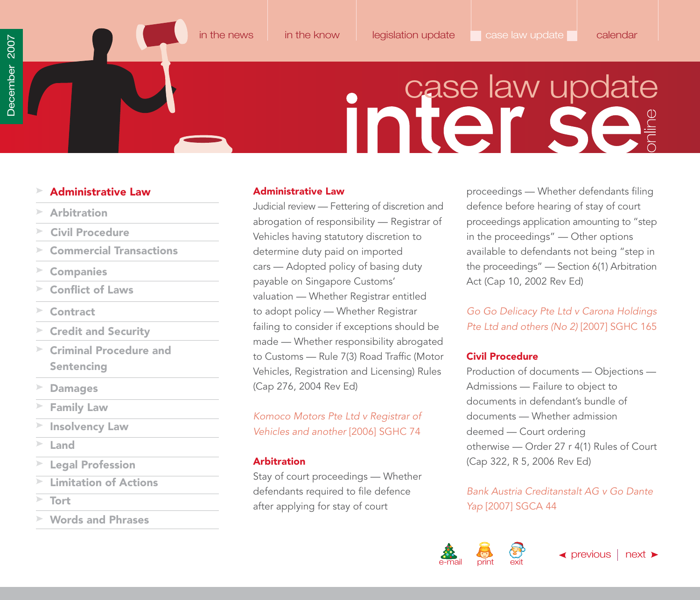<span id="page-49-0"></span>

[in the news](#page-1-0) [in the know](#page-21-0) [legislation update](#page-38-0) case law update [calendar](#page-56-0)

### **inier Se**

### **Administrative Law**

- **Arbitration**
- **Civil Procedure**
- **[Commercial Transactions](#page-50-0)**
- **[Companies](#page-51-0)**
- **[Conflict of Laws](#page-51-0)**
- **[Contract](#page-51-0)**
- **[Credit and Security](#page-52-0)**
- **[Criminal Procedure and](#page-52-0) Sentencing**
- **[Damages](#page-53-0)**
- **[Family Law](#page-53-0)**
- **[Insolvency Law](#page-54-0)**
- **[Land](#page-54-0)**
- **[Legal Profession](#page-54-0)**
- **[Limitation of Actions](#page-55-0)**
- 
- **[Words and Phrases](#page-55-0)**

### **Administrative Law**

Judicial review — Fettering of discretion and abrogation of responsibility — Registrar of Vehicles having statutory discretion to determine duty paid on imported cars — Adopted policy of basing duty payable on Singapore Customs' valuation — Whether Registrar entitled to adopt policy — Whether Registrar failing to consider if exceptions should be made — Whether responsibility abrogated to Customs — Rule 7(3) Road Traffic (Motor Vehicles, Registration and Licensing) Rules (Cap 276, 2004 Rev Ed)

Komoco Motors Pte Ltd v Registrar of Vehicles and another [2006] SGHC 74

### **Arbitration**

Stay of court proceedings — Whether defendants required to file defence [Tort](#page-55-0) **Tort** 2007] SGCA 44

proceedings — Whether defendants filing defence before hearing of stay of court proceedings application amounting to "step in the proceedings" — Other options available to defendants not being "step in the proceedings" — Section 6(1) Arbitration Act (Cap 10, 2002 Rev Ed)

Go Go Delicacy Pte Ltd v Carona Holdings Pte Ltd and others (No 2) [2007] SGHC 165

### **Civil Procedure**

Production of documents — Objections — Admissions — Failure to object to documents in defendant's bundle of documents — Whether admission deemed — Court ordering otherwise — Order 27 r 4(1) Rules of Court (Cap 322, R 5, 2006 Rev Ed)

Bank Austria Creditanstalt AG v Go Dante

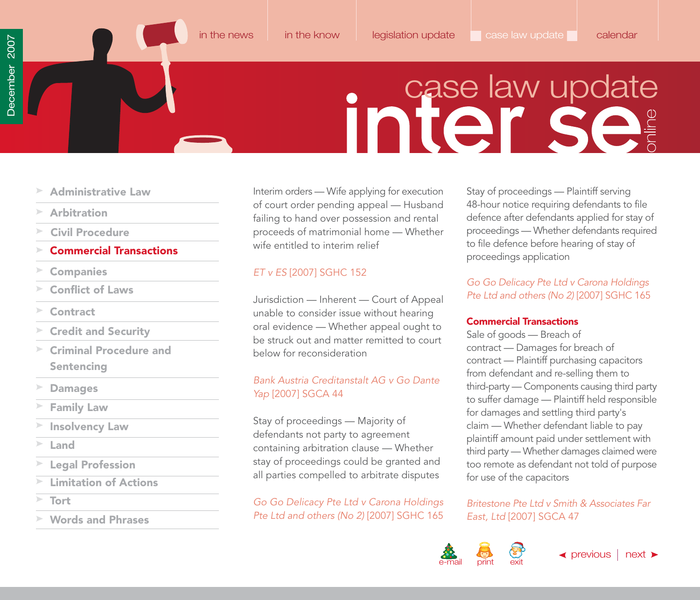### inter se

- <span id="page-50-0"></span>**[Administrative Law](#page-49-0)**
- **[Arbitration](#page-49-0)**
- **[Civil Procedure](#page-49-0)**

### **Commercial Transactions**

- **[Companies](#page-51-0)**
- **[Conflict of Laws](#page-51-0)**
- **[Contract](#page-51-0)**
- **[Credit and Security](#page-52-0)**
- **[Criminal Procedure and](#page-52-0) Sentencing**
- **[Damages](#page-53-0)**
- **[Family Law](#page-53-0)**
- **[Insolvency Law](#page-54-0)**
- **[Land](#page-54-0)**
- **[Legal Profession](#page-54-0)**
- **[Limitation of Actions](#page-55-0)**
- **[Tort](#page-55-0)**
- **[Words and Phrases](#page-55-0)**

Interim orders — Wife applying for execution of court order pending appeal — Husband failing to hand over possession and rental proceeds of matrimonial home — Whether wife entitled to interim relief

### ET v ES [2007] SGHC 152

Jurisdiction — Inherent — Court of Appeal unable to consider issue without hearing oral evidence — Whether appeal ought to be struck out and matter remitted to court below for reconsideration

### Bank Austria Creditanstalt AG v Go Dante Yap [2007] SGCA 44

Stay of proceedings — Majority of defendants not party to agreement containing arbitration clause — Whether stay of proceedings could be granted and all parties compelled to arbitrate disputes

Go Go Delicacy Pte Ltd v Carona Holdings Pte Ltd and others (No 2) [2007] SGHC 165 Stay of proceedings — Plaintiff serving 48-hour notice requiring defendants to file defence after defendants applied for stay of proceedings — Whether defendants required to file defence before hearing of stay of proceedings application

### Go Go Delicacy Pte Ltd v Carona Holdings Pte Ltd and others (No 2) [2007] SGHC 165

### **Commercial Transactions**

Sale of goods — Breach of contract — Damages for breach of contract — Plaintiff purchasing capacitors from defendant and re-selling them to third-party — Components causing third party to suffer damage — Plaintiff held responsible for damages and settling third party's claim — Whether defendant liable to pay plaintiff amount paid under settlement with third party — Whether damages claimed were too remote as defendant not told of purpose for use of the capacitors

Britestone Pte Ltd v Smith & Associates Far East, Ltd [2007] SGCA 47

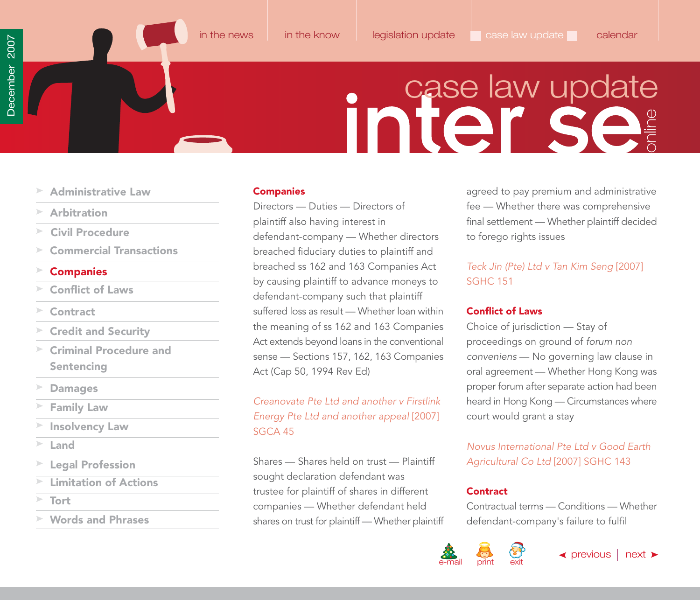# **inier se**

- <span id="page-51-0"></span>**[Administrative Law](#page-49-0)**
- **[Arbitration](#page-49-0)**
- **[Civil Procedure](#page-49-0)**
- **[Commercial Transactions](#page-50-0)**

### **Companies**

- **Conflict of Laws**
- **Contract**
- **[Credit and Security](#page-52-0)**
- **[Criminal Procedure and](#page-52-0) Sentencing**
- **[Damages](#page-53-0)**
- **[Family Law](#page-53-0)**
- **[Insolvency Law](#page-54-0)**
- **[Land](#page-54-0)**
- **[Legal Profession](#page-54-0)**
- **[Limitation of Actions](#page-55-0)**
- **[Tort](#page-55-0)**
- **[Words and Phrases](#page-55-0)**

### **Companies**

Directors — Duties — Directors of plaintiff also having interest in defendant-company — Whether directors breached fiduciary duties to plaintiff and breached ss 162 and 163 Companies Act by causing plaintiff to advance moneys to defendant-company such that plaintiff suffered loss as result — Whether loan within the meaning of ss 162 and 163 Companies Act extends beyond loans in the conventional sense — Sections 157, 162, 163 Companies Act (Cap 50, 1994 Rev Ed)

Creanovate Pte Ltd and another v Firstlink Energy Pte Ltd and another appeal [2007] SGCA 45

Shares — Shares held on trust — Plaintiff sought declaration defendant was trustee for plaintiff of shares in different companies — Whether defendant held shares on trust for plaintiff — Whether plaintiff

agreed to pay premium and administrative fee — Whether there was comprehensive final settlement — Whether plaintiff decided to forego rights issues

### Teck Jin (Pte) Ltd v Tan Kim Seng [2007] SGHC 151

### **Conflict of Laws**

Choice of jurisdiction — Stay of proceedings on ground of forum non conveniens — No governing law clause in oral agreement — Whether Hong Kong was proper forum after separate action had been heard in Hong Kong — Circumstances where court would grant a stay

Novus International Pte Ltd v Good Earth Agricultural Co Ltd [2007] SGHC 143

### **Contract**

Contractual terms — Conditions — Whether defendant-company's failure to fulfil



[in the news](#page-1-0) [in the know](#page-21-0) [legislation update](#page-38-0) case law update [calendar](#page-56-0)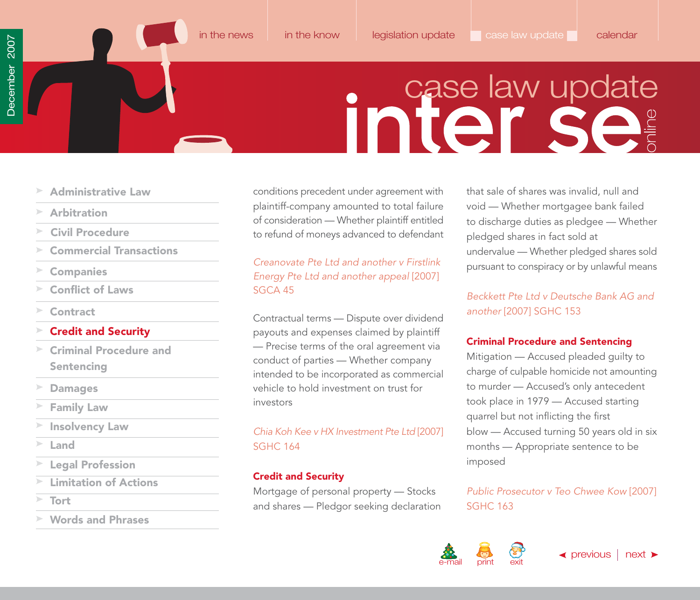**initerselaw update** 

- <span id="page-52-0"></span>**[Administrative Law](#page-49-0)**
- **[Arbitration](#page-49-0)**
- **[Civil Procedure](#page-49-0)**
- **[Commercial Transactions](#page-50-0)**
- **[Companies](#page-51-0)**
- **[Conflict of Laws](#page-51-0)**
- **[Contract](#page-51-0)**

### **Credit and Security**

- **Criminal Procedure and Sentencing**
- **[Damages](#page-53-0)**
- **[Family Law](#page-53-0)**
- **[Insolvency Law](#page-54-0)**
- **[Land](#page-54-0)**
- **[Legal Profession](#page-54-0)**
- **[Limitation of Actions](#page-55-0)**
- 
- **[Words and Phrases](#page-55-0)**

conditions precedent under agreement with plaintiff-company amounted to total failure of consideration — Whether plaintiff entitled to refund of moneys advanced to defendant

Creanovate Pte Ltd and another v Firstlink Energy Pte Ltd and another appeal [2007] SGCA 45

Contractual terms — Dispute over dividend payouts and expenses claimed by plaintiff — Precise terms of the oral agreement via conduct of parties — Whether company intended to be incorporated as commercial vehicle to hold investment on trust for investors

### Chia Koh Kee v HX Investment Pte Ltd [2007] SGHC 164

### **Credit and Security**

Mortgage of personal property — Stocks and shares — Pledgor seeking declaration SGHC 163 **[Tort](#page-55-0)**

that sale of shares was invalid, null and void — Whether mortgagee bank failed to discharge duties as pledgee — Whether pledged shares in fact sold at undervalue — Whether pledged shares sold pursuant to conspiracy or by unlawful means

Beckkett Pte Ltd v Deutsche Bank AG and another [2007] SGHC 153

### **Criminal Procedure and Sentencing**

Mitigation — Accused pleaded guilty to charge of culpable homicide not amounting to murder — Accused's only antecedent took place in 1979 — Accused starting quarrel but not inflicting the first blow — Accused turning 50 years old in six months — Appropriate sentence to be imposed

Public Prosecutor v Teo Chwee Kow [2007]

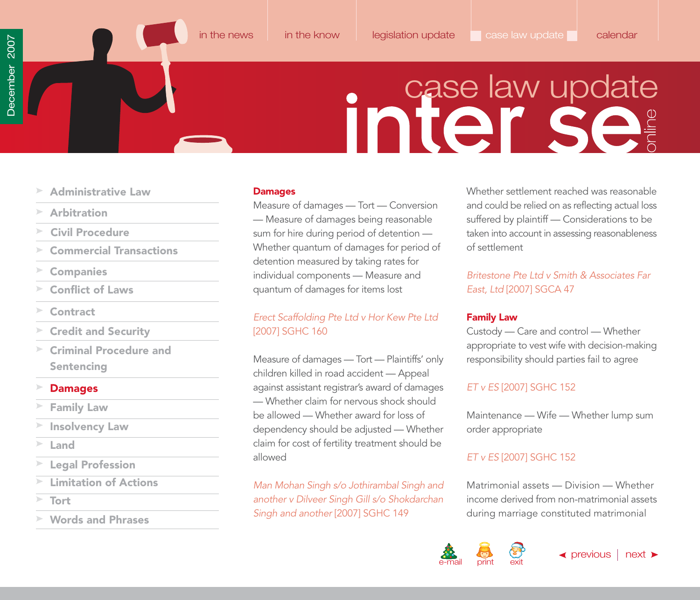# **inier se**

- <span id="page-53-0"></span>**[Administrative Law](#page-49-0)**
- **[Arbitration](#page-49-0)**
- **[Civil Procedure](#page-49-0)**
- **[Commercial Transactions](#page-50-0)**
- **[Companies](#page-51-0)**
- **[Conflict of Laws](#page-51-0)**
- **[Contract](#page-51-0)**
- **[Credit and Security](#page-52-0)**
- **[Criminal Procedure and](#page-52-0) Sentencing**
- **Damages**
- **Family Law**
- **[Insolvency Law](#page-54-0)**
- **[Land](#page-54-0)**
- **[Legal Profession](#page-54-0)**
- **[Limitation of Actions](#page-55-0)**
- **[Tort](#page-55-0)**
- **[Words and Phrases](#page-55-0)**

### **Damages**

Measure of damages — Tort — Conversion — Measure of damages being reasonable sum for hire during period of detention — Whether quantum of damages for period of detention measured by taking rates for individual components — Measure and quantum of damages for items lost

### Erect Scaffolding Pte Ltd v Hor Kew Pte Ltd [2007] SGHC 160

Measure of damages — Tort — Plaintiffs' only children killed in road accident — Appeal against assistant registrar's award of damages — Whether claim for nervous shock should be allowed — Whether award for loss of dependency should be adjusted — Whether claim for cost of fertility treatment should be allowed

Man Mohan Singh s/o Jothirambal Singh and another v Dilveer Singh Gill s/o Shokdarchan Singh and another [2007] SGHC 149

Whether settlement reached was reasonable and could be relied on as reflecting actual loss suffered by plaintiff — Considerations to be taken into account in assessing reasonableness of settlement

Britestone Pte Ltd v Smith & Associates Far East, Ltd [2007] SGCA 47

### **Family Law**

Custody — Care and control — Whether appropriate to vest wife with decision-making responsibility should parties fail to agree

### ET v ES [2007] SGHC 152

Maintenance — Wife — Whether lump sum order appropriate

### ET v ES [2007] SGHC 152

Matrimonial assets — Division — Whether income derived from non-matrimonial assets during marriage constituted matrimonial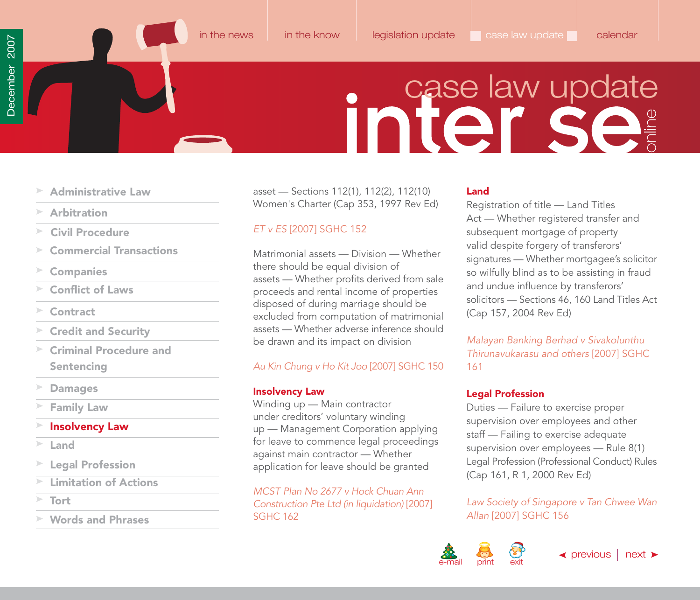### **inier Se**

- <span id="page-54-0"></span>**[Administrative Law](#page-49-0)**
- **[Arbitration](#page-49-0)**
- **[Civil Procedure](#page-49-0)**
- **[Commercial Transactions](#page-50-0)**
- **[Companies](#page-51-0)**
- **[Conflict of Laws](#page-51-0)**
- **[Contract](#page-51-0)**
- **[Credit and Security](#page-52-0)**
- **[Criminal Procedure and](#page-52-0) Sentencing**
- **[Damages](#page-53-0)**
- **[Family Law](#page-53-0)**
- **Insolvency Law**
- **Land**
- **Legal Profession**
- **[Limitation of Actions](#page-55-0)**
- **[Tort](#page-55-0)**
- **[Words and Phrases](#page-55-0)**

asset — Sections 112(1), 112(2), 112(10) Women's Charter (Cap 353, 1997 Rev Ed)

### ET v ES [2007] SGHC 152

Matrimonial assets — Division — Whether there should be equal division of assets — Whether profits derived from sale proceeds and rental income of properties disposed of during marriage should be excluded from computation of matrimonial assets — Whether adverse inference should be drawn and its impact on division

### Au Kin Chung v Ho Kit Joo [2007] SGHC 150

### **Insolvency Law**

Winding up — Main contractor under creditors' voluntary winding up — Management Corporation applying for leave to commence legal proceedings against main contractor — Whether application for leave should be granted

MCST Plan No 2677 v Hock Chuan Ann Construction Pte Ltd (in liquidation) [2007] SGHC 162

### **Land**

Registration of title — Land Titles Act — Whether registered transfer and subsequent mortgage of property valid despite forgery of transferors' signatures — Whether mortgagee's solicitor so wilfully blind as to be assisting in fraud and undue influence by transferors' solicitors — Sections 46, 160 Land Titles Act (Cap 157, 2004 Rev Ed)

Malayan Banking Berhad v Sivakolunthu Thirunavukarasu and others [2007] SGHC 161

### **Legal Profession**

Duties — Failure to exercise proper supervision over employees and other staff — Failing to exercise adequate supervision over employees — Rule 8(1) Legal Profession (Professional Conduct) Rules (Cap 161, R 1, 2000 Rev Ed)

Law Society of Singapore v Tan Chwee Wan Allan [2007] SGHC 156

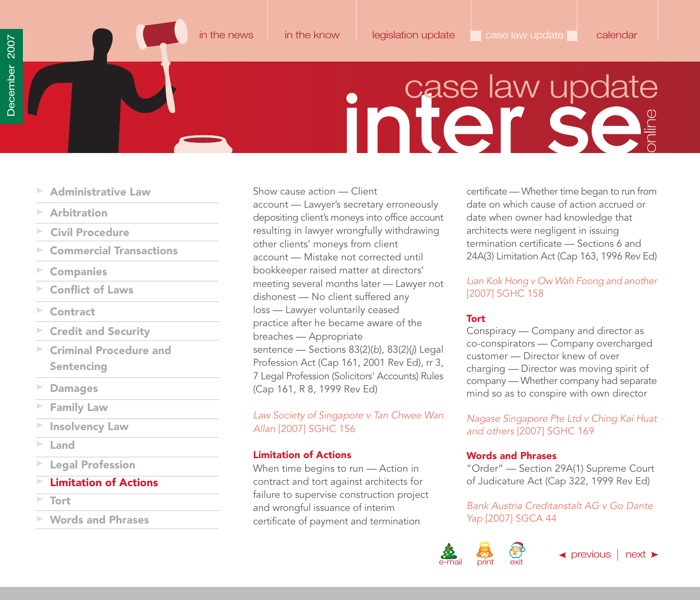### **inier se**

- <span id="page-55-0"></span>**[Administrative Law](#page-49-0)**
- **[Arbitration](#page-49-0)**
- **[Civil Procedure](#page-49-0)**
- **[Commercial Transactions](#page-50-0)**
- **[Companies](#page-51-0)**
- **[Conflict of Laws](#page-51-0)**
- $\geq$ **[Contract](#page-51-0)**
- **[Credit and Security](#page-52-0)**
- **[Criminal Procedure and](#page-52-0) Sentencing**
- **[Damages](#page-53-0)**
- **[Family Law](#page-53-0)**
- **[Insolvency Law](#page-54-0)**
- **[Land](#page-54-0)**
- **[Legal Profession](#page-54-0)**
- **Limitation of Actions**
- **Tort**
- **Words and Phrases**

Show cause action — Client account — Lawyer's secretary erroneously depositing client's moneys into office account resulting in lawyer wrongfully withdrawing other clients' moneys from client account — Mistake not corrected until bookkeeper raised matter at directors' meeting several months later — Lawyer not dishonest — No client suffered any loss — Lawyer voluntarily ceased practice after he became aware of the breaches — Appropriate sentence — Sections 83(2)(b), 83(2)(j) Legal Profession Act (Cap 161, 2001 Rev Ed), rr 3, 7 Legal Profession (Solicitors' Accounts) Rules (Cap 161, R 8, 1999 Rev Ed)

### Law Society of Singapore v Tan Chwee Wan Allan [2007] SGHC 156

### **Limitation of Actions**

When time begins to run — Action in contract and tort against architects for failure to supervise construction project and wrongful issuance of interim certificate of payment and termination

certificate — Whether time began to run from date on which cause of action accrued or date when owner had knowledge that architects were negligent in issuing termination certificate — Sections 6 and 24A(3) Limitation Act (Cap 163, 1996 Rev Ed)

### Lian Kok Hong v Ow Wah Foong and another [2007] SGHC 158

### **Tort**

Conspiracy — Company and director as co-conspirators — Company overcharged customer — Director knew of over charging — Director was moving spirit of company — Whether company had separate mind so as to conspire with own director

Nagase Singapore Pte Ltd v Ching Kai Huat and others [2007] SGHC 169

### **Words and Phrases**

"Order" — Section 29A(1) Supreme Court of Judicature Act (Cap 322, 1999 Rev Ed)

Bank Austria Creditanstalt AG v Go Dante Yap [2007] SGCA 44



 $\blacktriangleleft$  [previous](#page-54-0) | [next](#page-56-0)  $\blacktriangleright$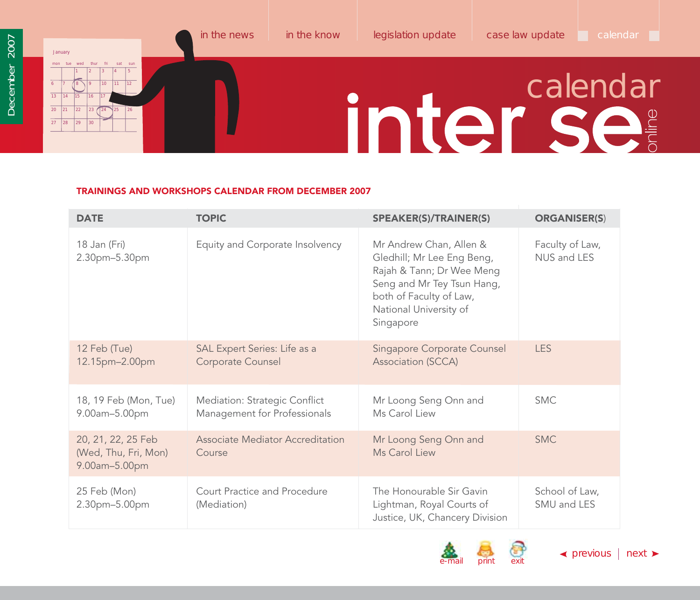### <span id="page-56-0"></span>January mon tue wed thur fri sat sun 1 2 3 4 5 6 17 17 8 19 110 111 112 13 14 15 16 17 18  $\overline{20}$  $\overline{27}$ 21 22 23 24 25 26  $|28$ [in the news](#page-1-0) [in the know](#page-21-0) [legislation update](#page-38-0) [case law update](#page-49-0) calendar  $\Box$ inter se

### **TRAININGS AND WORKSHOPS CALENDAR FROM DECEMBER 2007**

| <b>DATE</b>                                                 | <b>TOPIC</b>                                                  | <b>SPEAKER(S)/TRAINER(S)</b>                                                                                                                                                       | <b>ORGANISER(S)</b>            |
|-------------------------------------------------------------|---------------------------------------------------------------|------------------------------------------------------------------------------------------------------------------------------------------------------------------------------------|--------------------------------|
| 18 Jan (Fri)<br>2.30pm-5.30pm                               | Equity and Corporate Insolvency                               | Mr Andrew Chan, Allen &<br>Gledhill; Mr Lee Eng Beng,<br>Rajah & Tann; Dr Wee Meng<br>Seng and Mr Tey Tsun Hang,<br>both of Faculty of Law,<br>National University of<br>Singapore | Faculty of Law,<br>NUS and LES |
| 12 Feb (Tue)<br>12.15pm-2.00pm                              | SAL Expert Series: Life as a<br>Corporate Counsel             | <b>Singapore Corporate Counsel</b><br>Association (SCCA)                                                                                                                           | <b>LES</b>                     |
| 18, 19 Feb (Mon, Tue)<br>9.00am-5.00pm                      | Mediation: Strategic Conflict<br>Management for Professionals | Mr Loong Seng Onn and<br>Ms Carol Liew                                                                                                                                             | <b>SMC</b>                     |
| 20, 21, 22, 25 Feb<br>(Wed, Thu, Fri, Mon)<br>9.00am-5.00pm | Associate Mediator Accreditation<br>Course                    | Mr Loong Seng Onn and<br>Ms Carol Liew                                                                                                                                             | <b>SMC</b>                     |
| 25 Feb (Mon)<br>2.30pm-5.00pm                               | Court Practice and Procedure<br>(Mediation)                   | The Honourable Sir Gavin<br>Lightman, Royal Courts of<br>Justice, UK, Chancery Division                                                                                            | School of Law,<br>SMU and LES  |





 $\blacktriangle$  [previous](#page-55-0) | [next](#page-57-0)  $\blacktriangleright$